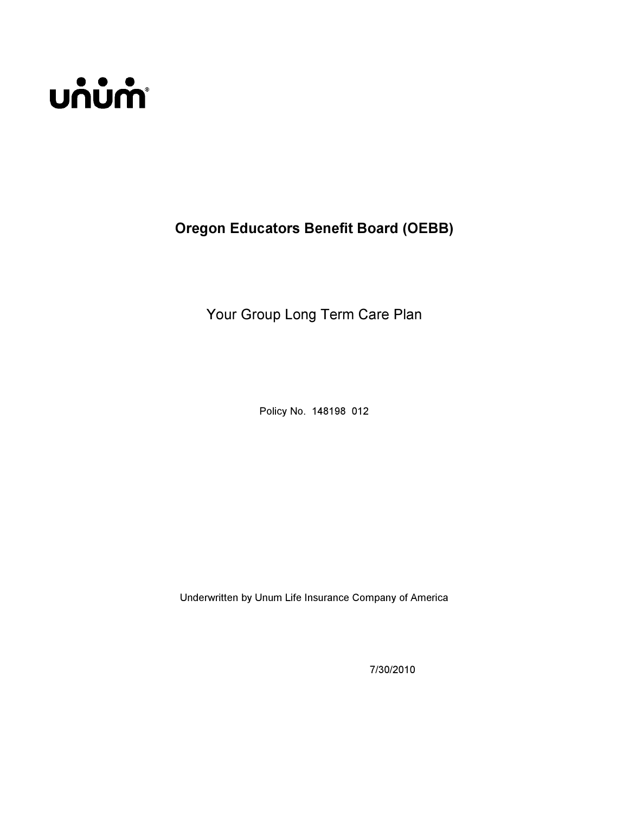# **นก๋บ๋ก**ำ

Oregon Educators Benefit Board (OEBB)

Your Group Long Term Care Plan

Policy No. 148198 012

Underwritten by Unum Life Insurance Company of America

7/30/2010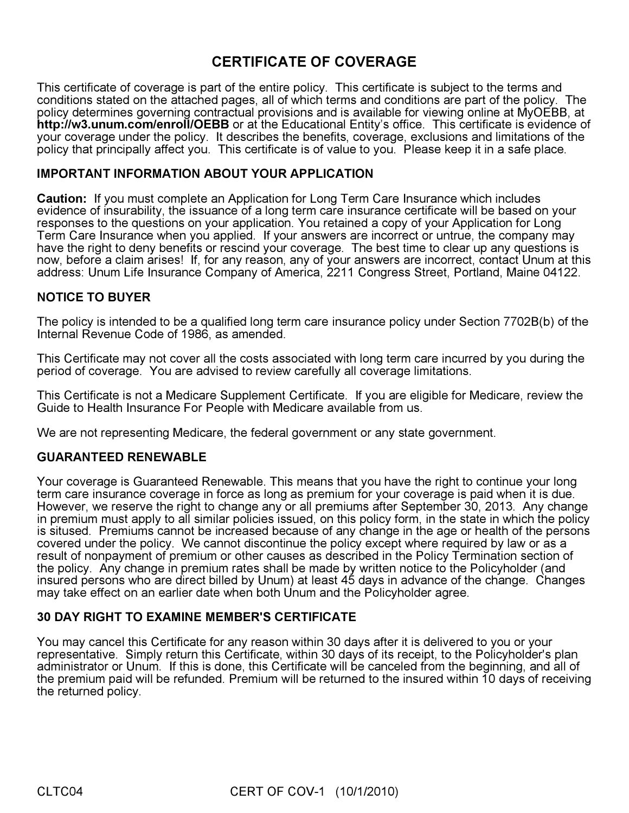# CERTIFICATE OF COVERAGE

This certificate of coverage is part of the entire policy. This certificate is subject to the terms and conditions stated on the attached pages, all of which terms and conditions are part of the policy. The policy determines governing contractual provisions and is available for viewing online at MyOEBB, at http://w3.unum.com/enroll/OEBB or at the Educational Entity's office. This certificate is evidence of your coverage under the policy. It describes the benefits, coverage, exclusions and limitations of the policy that principally affect you. This certificate is of value to you. Please keep it in a safe place.

# IMPORTANT INFORMATION ABOUT YOUR APPLICATION

Caution: If you must complete an Application for Long Term Care Insurance which includes evidence of insurability, the issuance of a long term care insurance certificate will be based on your responses to the questions on your application. You retained a copy of your Application for Long Term Care Insurance when you applied. If your answers are incorrect or untrue, the company may have the right to deny benefits or rescind your coverage. The best time to clear up any questions is now, before a claim arises! If, for any reason, any of your answers are incorrect, contact Unum at this address: Unum Life Insurance Company of America, 2211 Congress Street, Portland, Maine 04122.

# NOTICE TO BUYER

The policy is intended to be a qualified long term care insurance policy under Section 7702B(b) of the Internal Revenue Code of 1986, as amended.

This Certificate may not cover all the costs associated with long term care incurred by you during the period of coverage. You are advised to review carefully all coverage limitations.

This Certificate is not a Medicare Supplement Certificate. If you are eligible for Medicare, review the Guide to Health Insurance For People with Medicare available from us.

We are not representing Medicare, the federal government or any state government.

# GUARANTEED RENEWABLE

Your coverage is Guaranteed Renewable. This means that you have the right to continue your long term care insurance coverage in force as long as premium for your coverage is paid when it is due. However, we reserve the right to change any or all premiums after September 30, 2013. Any change in premium must apply to all similar policies issued, on this policy form, in the state in which the policy is sitused. Premiums cannot be increased because of any change in the age or health of the persons covered under the policy. We cannot discontinue the policy except where required by law or as a result of nonpayment of premium or other causes as described in the Policy Termination section of the policy. Any change in premium rates shall be made by written notice to the Policyholder (and insured persons who are direct billed by Unum) at least 45 days in advance of the change. Changes may take effect on an earlier date when both Unum and the Policyholder agree.

# 30 DAY RIGHT TO EXAMINE MEMBER'S CERTIFICATE

You may cancel this Certificate for any reason within 30 days after it is delivered to you or your representative. Simply return this Certificate, within 30 days of its receipt, to the Policyholder's plan administrator or Unum. If this is done, this Certificate will be canceled from the beginning, and all of the premium paid will be refunded. Premium will be returned to the insured within 10 days of receiving the returned policy.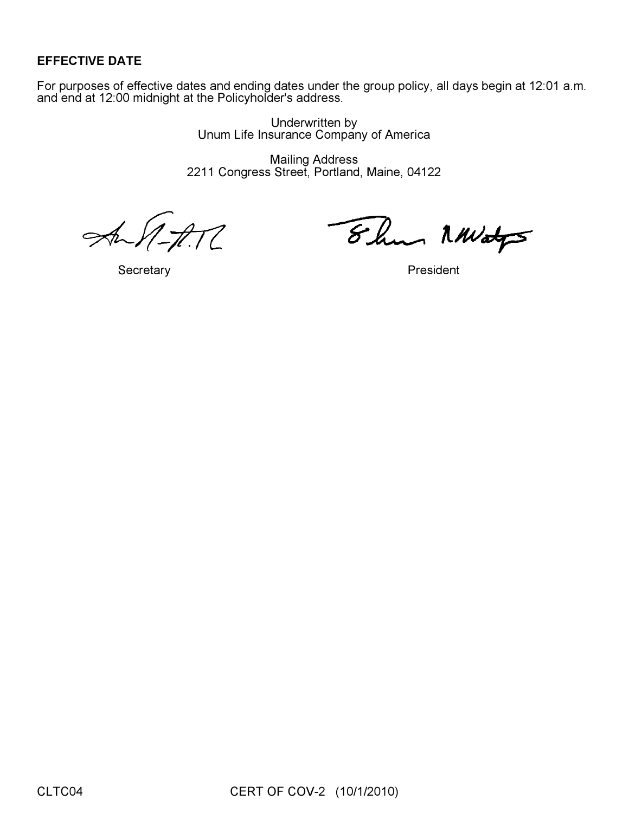# EFFECTIVE DATE

For purposes of effective dates and ending dates under the group policy, all days begin at 12:01 a.m. and end at 12:00 midnight at the Policyholder's address.

> Underwritten by Unum Life Insurance Company of America

Mailing Address 2211 Congress Street, Portland, Maine, 04122

And  $72$ 

Thur MWater

Secretary **President**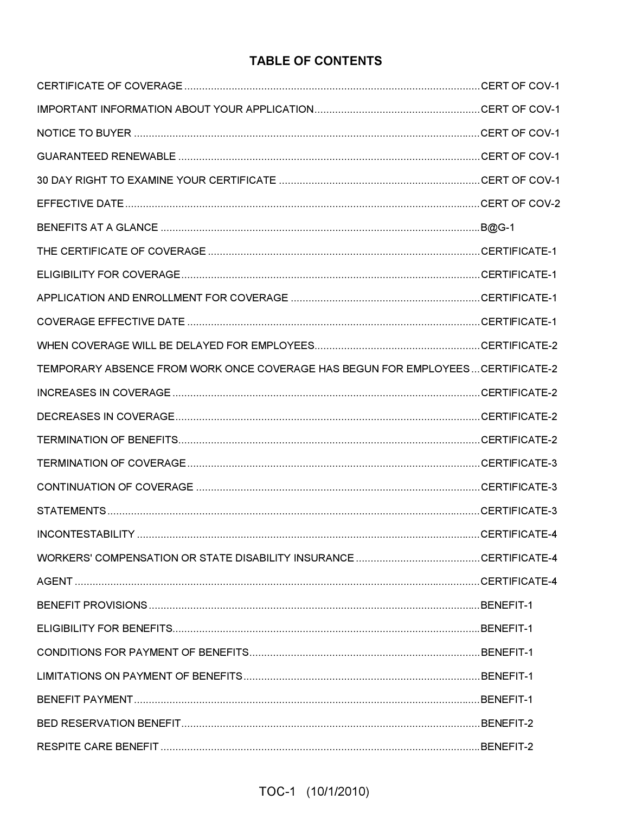# **TABLE OF CONTENTS**

| TEMPORARY ABSENCE FROM WORK ONCE COVERAGE HAS BEGUN FOR EMPLOYEESCERTIFICATE-2 |  |
|--------------------------------------------------------------------------------|--|
|                                                                                |  |
|                                                                                |  |
|                                                                                |  |
|                                                                                |  |
|                                                                                |  |
|                                                                                |  |
|                                                                                |  |
|                                                                                |  |
|                                                                                |  |
|                                                                                |  |
|                                                                                |  |
|                                                                                |  |
|                                                                                |  |
|                                                                                |  |
|                                                                                |  |
|                                                                                |  |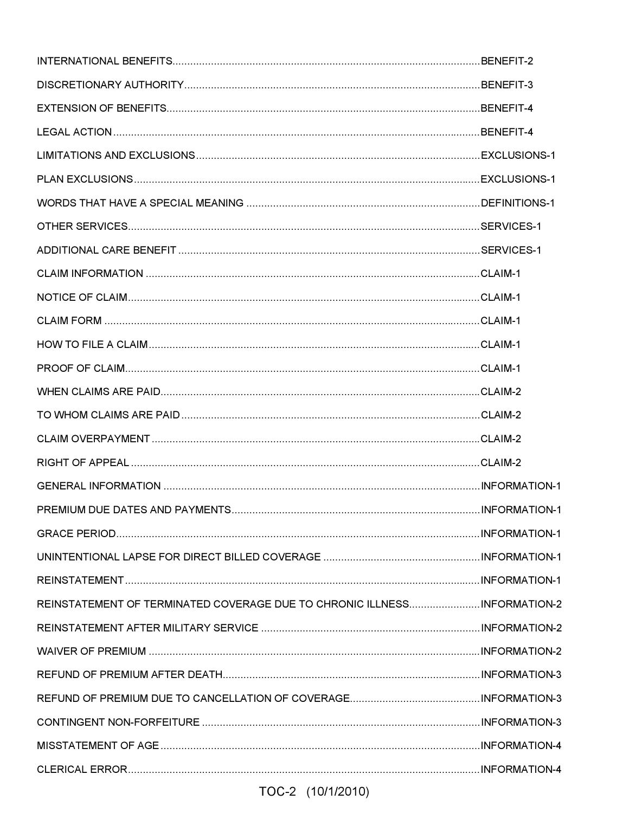| <b>PREMIUM DUE DATES AND PAYMENTS</b>                                    | INFORMATION-1 |
|--------------------------------------------------------------------------|---------------|
|                                                                          |               |
|                                                                          |               |
|                                                                          |               |
| REINSTATEMENT OF TERMINATED COVERAGE DUE TO CHRONIC ILLNESSINFORMATION-2 |               |
|                                                                          |               |
|                                                                          |               |
|                                                                          |               |
|                                                                          |               |
|                                                                          |               |
|                                                                          |               |
|                                                                          |               |

# TOC-2 (10/1/2010)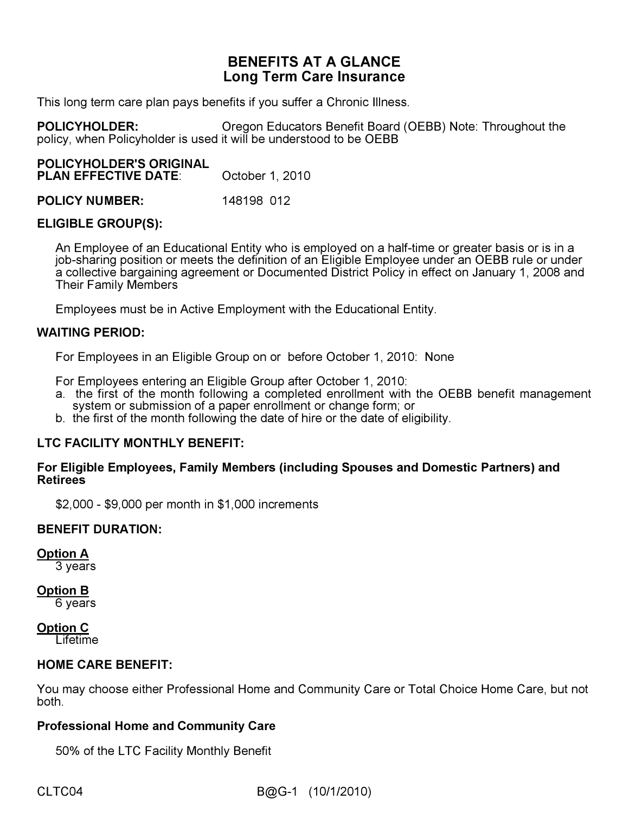# BENEFITS AT A GLANCE Long Term Care Insurance

This long term care plan pays benefits if you suffer a Chronic Illness.

POLICYHOLDER: Oregon Educators Benefit Board (OEBB) Note: Throughout the policy, when Policyholder is used it will be understood to be OEBB

# POLICYHOLDER'S ORIGINAL

PLAN EFFECTIVE DATE: October 1, 2010

**POLICY NUMBER:** 148198 012

#### ELIGIBLE GROUP(S):

An Employee of an Educational Entity who is employed on a half-time or greater basis or is in a job-sharing position or meets the definition of an Eligible Employee under an OEBB rule or under a collective bargaining agreement or Documented District Policy in effect on January 1, 2008 and Their Family Members

Employees must be in Active Employment with the Educational Entity.

# WAITING PERIOD:

For Employees in an Eligible Group on or before October 1, 2010: None

For Employees entering an Eligible Group after October 1, 2010:

- a. the first of the month following a completed enrollment with the OEBB benefit management system or submission of a paper enrollment or change form; or
- b. the first of the month following the date of hire or the date of eligibility.

# LTC FACILITY MONTHLY BENEFIT:

#### For Eligible Employees, Family Members (including Spouses and Domestic Partners) and **Retirees**

\$2,000 - \$9,000 per month in \$1,000 increments

# BENEFIT DURATION:

Option A

3 years

#### Option B

6 years

#### Option C

**Lifetime** 

# HOME CARE BENEFIT:

You may choose either Professional Home and Community Care or Total Choice Home Care, but not both.

# Professional Home and Community Care

50% of the LTC Facility Monthly Benefit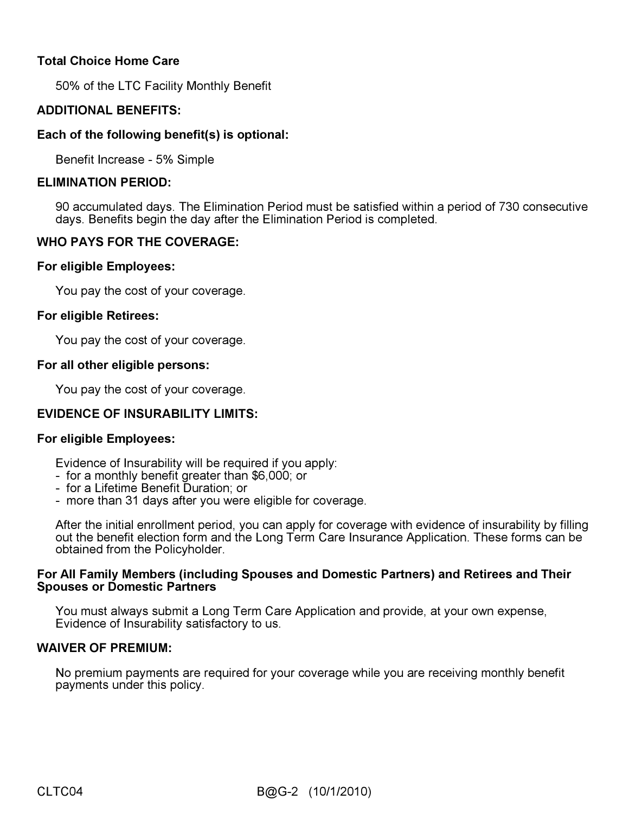# Total Choice Home Care

50% of the LTC Facility Monthly Benefit

# ADDITIONAL BENEFITS:

# Each of the following benefit(s) is optional:

Benefit Increase - 5% Simple

#### ELIMINATION PERIOD:

90 accumulated days. The Elimination Period must be satisfied within a period of 730 consecutive days. Benefits begin the day after the Elimination Period is completed.

# WHO PAYS FOR THE COVERAGE:

#### For eligible Employees:

You pay the cost of your coverage.

#### For eligible Retirees:

You pay the cost of your coverage.

#### For all other eligible persons:

You pay the cost of your coverage.

# EVIDENCE OF INSURABILITY LIMITS:

# For eligible Employees:

Evidence of Insurability will be required if you apply:

- for a monthly benefit greater than \$6,000; or
- for a Lifetime Benefit Duration; or
- more than 31 days after you were eligible for coverage.

After the initial enrollment period, you can apply for coverage with evidence of insurability by filling out the benefit election form and the Long Term Care Insurance Application. These forms can be obtained from the Policyholder.

#### For All Family Members (including Spouses and Domestic Partners) and Retirees and Their Spouses or Domestic Partners

You must always submit a Long Term Care Application and provide, at your own expense, Evidence of Insurability satisfactory to us.

#### WAIVER OF PREMIUM:

No premium payments are required for your coverage while you are receiving monthly benefit payments under this policy.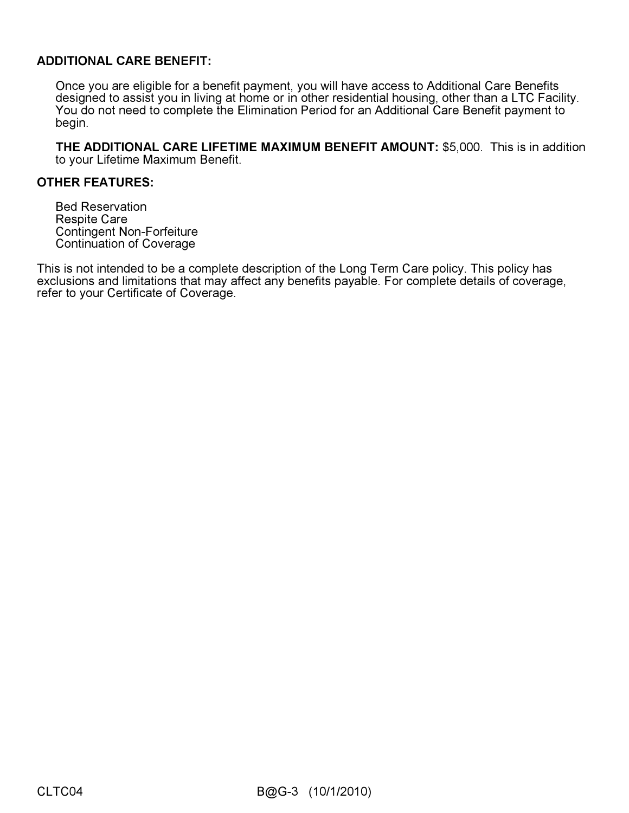# ADDITIONAL CARE BENEFIT:

Once you are eligible for a benefit payment, you will have access to Additional Care Benefits designed to assist you in living at home or in other residential housing, other than a LTC Facility. You do not need to complete the Elimination Period for an Additional Care Benefit payment to begin.

THE ADDITIONAL CARE LIFETIME MAXIMUM BENEFIT AMOUNT: \$5,000. This is in addition to your Lifetime Maximum Benefit.

#### OTHER FEATURES:

Bed Reservation Respite Care Contingent Non-Forfeiture Continuation of Coverage

This is not intended to be a complete description of the Long Term Care policy. This policy has exclusions and limitations that may affect any benefits payable. For complete details of coverage, refer to your Certificate of Coverage.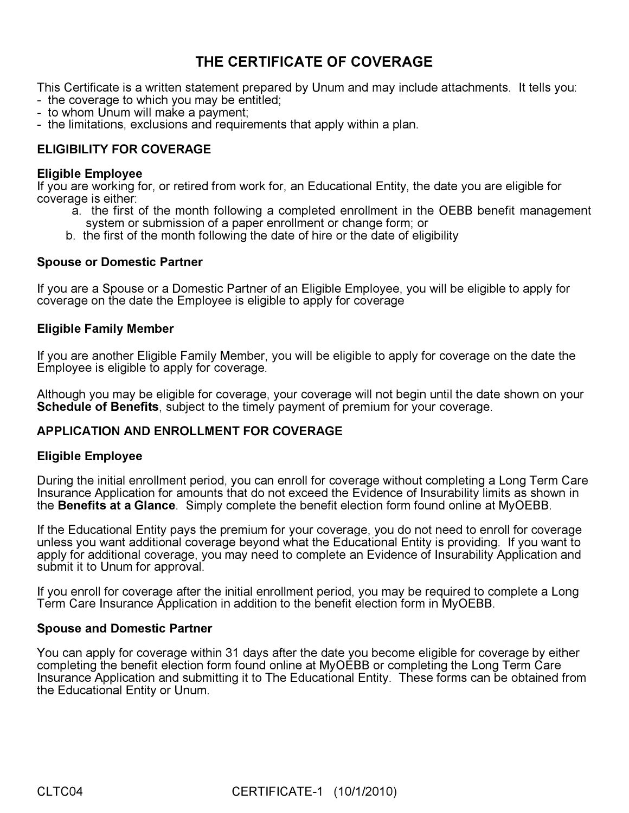# THE CERTIFICATE OF COVERAGE

This Certificate is a written statement prepared by Unum and may include attachments. It tells you: - the coverage to which you may be entitled;

- to whom Unum will make a payment;
- the limitations, exclusions and requirements that apply within a plan.

# ELIGIBILITY FOR COVERAGE

#### Eligible Employee

If you are working for, or retired from work for, an Educational Entity, the date you are eligible for coverage is either:

- a. the first of the month following a completed enrollment in the OEBB benefit management system or submission of a paper enrollment or change form; or
- b. the first of the month following the date of hire or the date of eligibility

#### Spouse or Domestic Partner

If you are a Spouse or a Domestic Partner of an Eligible Employee, you will be eligible to apply for coverage on the date the Employee is eligible to apply for coverage

#### Eligible Family Member

If you are another Eligible Family Member, you will be eligible to apply for coverage on the date the Employee is eligible to apply for coverage.

Although you may be eligible for coverage, your coverage will not begin until the date shown on your Schedule of Benefits, subject to the timely payment of premium for your coverage.

#### APPLICATION AND ENROLLMENT FOR COVERAGE

#### Eligible Employee

During the initial enrollment period, you can enroll for coverage without completing a Long Term Care Insurance Application for amounts that do not exceed the Evidence of Insurability limits as shown in the Benefits at a Glance. Simply complete the benefit election form found online at MyOEBB.

If the Educational Entity pays the premium for your coverage, you do not need to enroll for coverage unless you want additional coverage beyond what the Educational Entity is providing. If you want to apply for additional coverage, you may need to complete an Evidence of Insurability Application and submit it to Unum for approval.

If you enroll for coverage after the initial enrollment period, you may be required to complete a Long Term Care Insurance Application in addition to the benefit election form in MyOEBB.

#### Spouse and Domestic Partner

You can apply for coverage within 31 days after the date you become eligible for coverage by either completing the benefit election form found online at MyOEBB or completing the Long Term Care Insurance Application and submitting it to The Educational Entity. These forms can be obtained from the Educational Entity or Unum.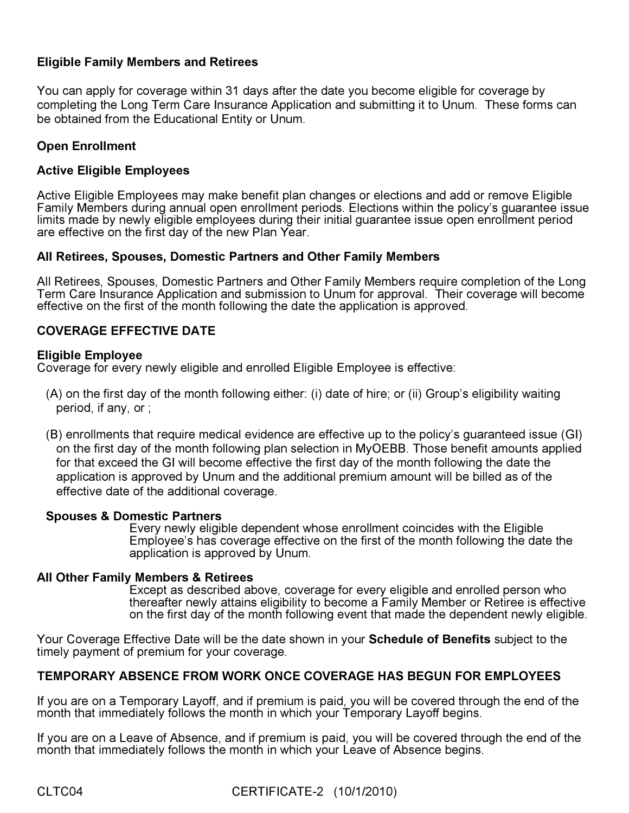# Eligible Family Members and Retirees

You can apply for coverage within 31 days after the date you become eligible for coverage by completing the Long Term Care Insurance Application and submitting it to Unum. These forms can be obtained from the Educational Entity or Unum.

# Open Enrollment

#### Active Eligible Employees

Active Eligible Employees may make benefit plan changes or elections and add or remove Eligible Family Members during annual open enrollment periods. Elections within the policy's guarantee issue limits made by newly eligible employees during their initial guarantee issue open enrollment period are effective on the first day of the new Plan Year.

#### All Retirees, Spouses, Domestic Partners and Other Family Members

All Retirees, Spouses, Domestic Partners and Other Family Members require completion of the Long Term Care Insurance Application and submission to Unum for approval. Their coverage will become effective on the first of the month following the date the application is approved.

# COVERAGE EFFECTIVE DATE

#### Eligible Employee

Coverage for every newly eligible and enrolled Eligible Employee is effective:

- (A) on the first day of the month following either: (i) date of hire; or (ii) Group's eligibility waiting period, if any, or ;
- (B) enrollments that require medical evidence are effective up to the policy's guaranteed issue (GI) on the first day of the month following plan selection in MyOEBB. Those benefit amounts applied for that exceed the GI will become effective the first day of the month following the date the application is approved by Unum and the additional premium amount will be billed as of the effective date of the additional coverage.

#### Spouses & Domestic Partners

Every newly eligible dependent whose enrollment coincides with the Eligible Employee's has coverage effective on the first of the month following the date the application is approved by Unum.

#### All Other Family Members & Retirees

Except as described above, coverage for every eligible and enrolled person who thereafter newly attains eligibility to become a Family Member or Retiree is effective on the first day of the month following event that made the dependent newly eligible.

Your Coverage Effective Date will be the date shown in your **Schedule of Benefits** subject to the timely payment of premium for your coverage.

# TEMPORARY ABSENCE FROM WORK ONCE COVERAGE HAS BEGUN FOR EMPLOYEES

If you are on a Temporary Layoff, and if premium is paid, you will be covered through the end of the month that immediately follows the month in which your Temporary Layoff begins.

If you are on a Leave of Absence, and if premium is paid, you will be covered through the end of the month that immediately follows the month in which your Leave of Absence begins.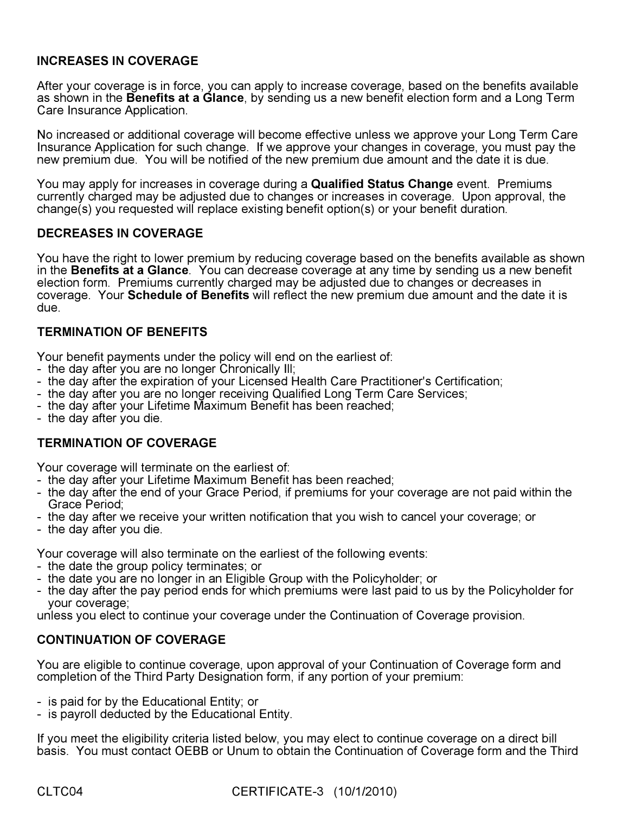# INCREASES IN COVERAGE

After your coverage is in force, you can apply to increase coverage, based on the benefits available as shown in the **Benefits at a Glance**, by sending us a new benefit election form and a Long Term Care Insurance Application.

No increased or additional coverage will become effective unless we approve your Long Term Care Insurance Application for such change. If we approve your changes in coverage, you must pay the new premium due. You will be notified of the new premium due amount and the date it is due.

You may apply for increases in coverage during a **Qualified Status Change** event. Premiums currently charged may be adjusted due to changes or increases in coverage. Upon approval, the change(s) you requested will replace existing benefit option(s) or your benefit duration.

#### DECREASES IN COVERAGE

You have the right to lower premium by reducing coverage based on the benefits available as shown in the Benefits at a Glance. You can decrease coverage at any time by sending us a new benefit election form. Premiums currently charged may be adjusted due to changes or decreases in coverage. Your Schedule of Benefits will reflect the new premium due amount and the date it is due.

# TERMINATION OF BENEFITS

Your benefit payments under the policy will end on the earliest of:

- the day after you are no longer Chronically Ill;
- the day after the expiration of your Licensed Health Care Practitioner's Certification;
- the day after you are no longer receiving Qualified Long Term Care Services;
- the day after your Lifetime Maximum Benefit has been reached;
- the day after you die.

# TERMINATION OF COVERAGE

Your coverage will terminate on the earliest of:

- the day after your Lifetime Maximum Benefit has been reached;
- the day after the end of your Grace Period, if premiums for your coverage are not paid within the Grace Period;
- the day after we receive your written notification that you wish to cancel your coverage; or
- the day after you die.

Your coverage will also terminate on the earliest of the following events:

- the date the group policy terminates; or
- the date you are no longer in an Eligible Group with the Policyholder; or
- the day after the pay period ends for which premiums were last paid to us by the Policyholder for your coverage;

unless you elect to continue your coverage under the Continuation of Coverage provision.

# CONTINUATION OF COVERAGE

You are eligible to continue coverage, upon approval of your Continuation of Coverage form and completion of the Third Party Designation form, if any portion of your premium:

- is paid for by the Educational Entity; or
- is payroll deducted by the Educational Entity.

If you meet the eligibility criteria listed below, you may elect to continue coverage on a direct bill basis. You must contact OEBB or Unum to obtain the Continuation of Coverage form and the Third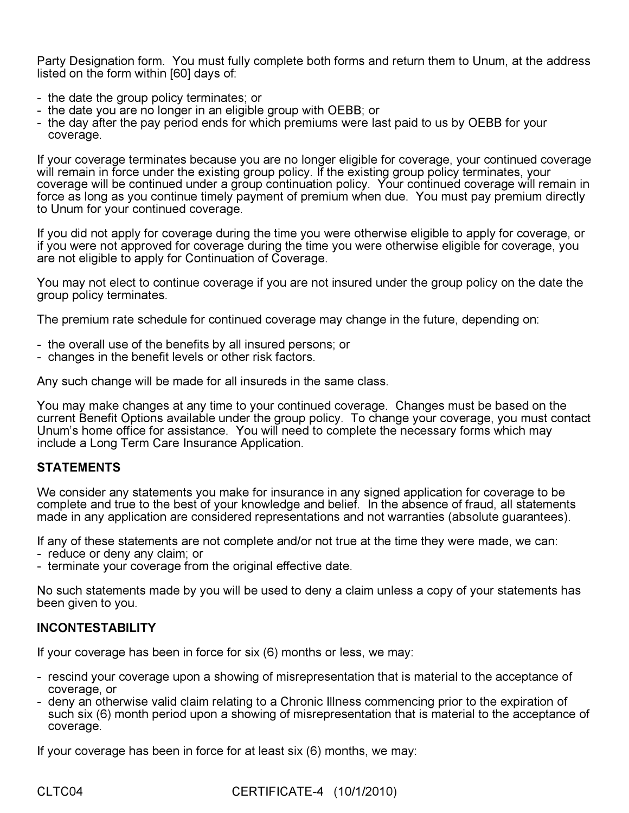Party Designation form. You must fully complete both forms and return them to Unum, at the address listed on the form within [60] days of:

- the date the group policy terminates; or
- the date you are no longer in an eligible group with OEBB; or
- the day after the pay period ends for which premiums were last paid to us by OEBB for your coverage.

If your coverage terminates because you are no longer eligible for coverage, your continued coverage will remain in force under the existing group policy. If the existing group policy terminates, your coverage will be continued under a group continuation policy. Your continued coverage will remain in force as long as you continue timely payment of premium when due. You must pay premium directly to Unum for your continued coverage.

If you did not apply for coverage during the time you were otherwise eligible to apply for coverage, or if you were not approved for coverage during the time you were otherwise eligible for coverage, you are not eligible to apply for Continuation of Coverage.

You may not elect to continue coverage if you are not insured under the group policy on the date the group policy terminates.

The premium rate schedule for continued coverage may change in the future, depending on:

- the overall use of the benefits by all insured persons; or
- changes in the benefit levels or other risk factors.

Any such change will be made for all insureds in the same class.

You may make changes at any time to your continued coverage. Changes must be based on the current Benefit Options available under the group policy. To change your coverage, you must contact Unum's home office for assistance. You will need to complete the necessary forms which may include a Long Term Care Insurance Application.

# **STATEMENTS**

We consider any statements you make for insurance in any signed application for coverage to be complete and true to the best of your knowledge and belief. In the absence of fraud, all statements made in any application are considered representations and not warranties (absolute guarantees).

If any of these statements are not complete and/or not true at the time they were made, we can:

- reduce or deny any claim; or
- terminate your coverage from the original effective date.

No such statements made by you will be used to deny a claim unless a copy of your statements has been given to you.

# INCONTESTABILITY

If your coverage has been in force for six (6) months or less, we may:

- rescind your coverage upon a showing of misrepresentation that is material to the acceptance of coverage, or
- deny an otherwise valid claim relating to a Chronic Illness commencing prior to the expiration of such six (6) month period upon a showing of misrepresentation that is material to the acceptance of coverage.

If your coverage has been in force for at least six (6) months, we may:

CLTC04 CERTIFICATE-4 (10/1/2010)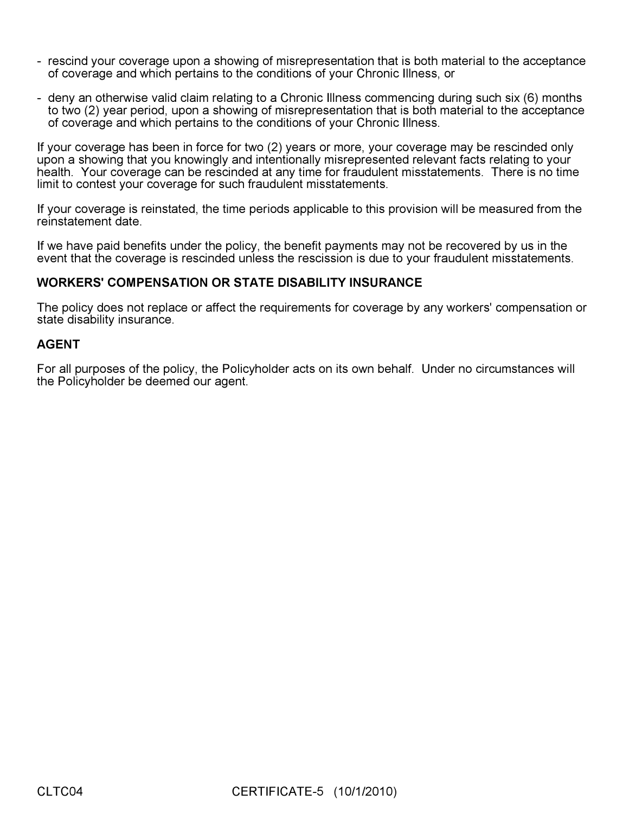- rescind your coverage upon a showing of misrepresentation that is both material to the acceptance of coverage and which pertains to the conditions of your Chronic Illness, or
- deny an otherwise valid claim relating to a Chronic Illness commencing during such six (6) months to two (2) year period, upon a showing of misrepresentation that is both material to the acceptance of coverage and which pertains to the conditions of your Chronic Illness.

If your coverage has been in force for two (2) years or more, your coverage may be rescinded only upon a showing that you knowingly and intentionally misrepresented relevant facts relating to your health. Your coverage can be rescinded at any time for fraudulent misstatements. There is no time limit to contest your coverage for such fraudulent misstatements.

If your coverage is reinstated, the time periods applicable to this provision will be measured from the reinstatement date.

If we have paid benefits under the policy, the benefit payments may not be recovered by us in the event that the coverage is rescinded unless the rescission is due to your fraudulent misstatements.

#### WORKERS' COMPENSATION OR STATE DISABILITY INSURANCE

The policy does not replace or affect the requirements for coverage by any workers' compensation or state disability insurance.

#### AGENT

For all purposes of the policy, the Policyholder acts on its own behalf. Under no circumstances will the Policyholder be deemed our agent.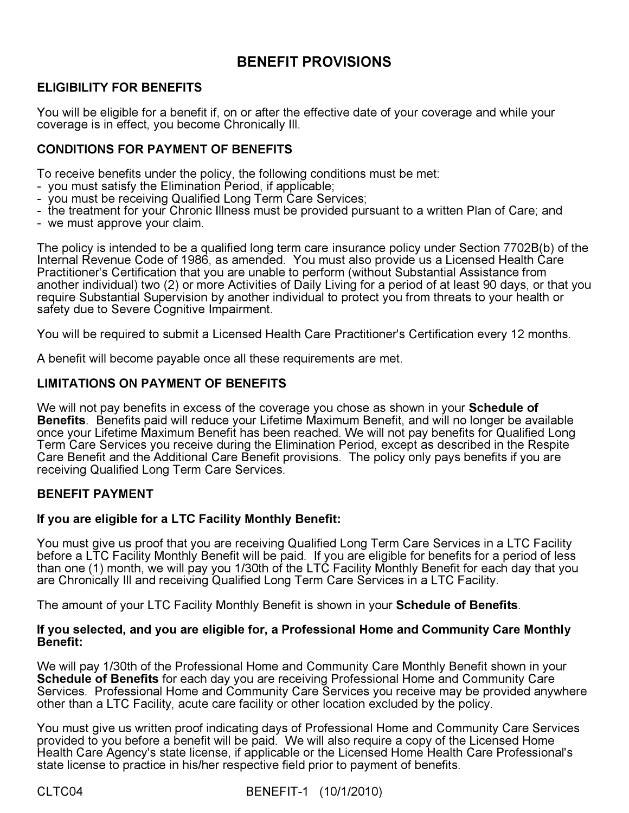# BENEFIT PROVISIONS

# ELIGIBILITY FOR BENEFITS

You will be eligible for a benefit if, on or after the effective date of your coverage and while your coverage is in effect, you become Chronically Ill.

# CONDITIONS FOR PAYMENT OF BENEFITS

To receive benefits under the policy, the following conditions must be met:

- you must satisfy the Elimination Period, if applicable;
- you must be receiving Qualified Long Term Care Services;
- the treatment for your Chronic Illness must be provided pursuant to a written Plan of Care; and
- we must approve your claim.

The policy is intended to be a qualified long term care insurance policy under Section 7702B(b) of the Internal Revenue Code of 1986, as amended. You must also provide us a Licensed Health Care Practitioner's Certification that you are unable to perform (without Substantial Assistance from another individual) two (2) or more Activities of Daily Living for a period of at least 90 days, or that you require Substantial Supervision by another individual to protect you from threats to your health or safety due to Severe Cognitive Impairment.

You will be required to submit a Licensed Health Care Practitioner's Certification every 12 months.

A benefit will become payable once all these requirements are met.

# LIMITATIONS ON PAYMENT OF BENEFITS

We will not pay benefits in excess of the coverage you chose as shown in your **Schedule of** Benefits. Benefits paid will reduce your Lifetime Maximum Benefit, and will no longer be available once your Lifetime Maximum Benefit has been reached. We will not pay benefits for Qualified Long Term Care Services you receive during the Elimination Period, except as described in the Respite Care Benefit and the Additional Care Benefit provisions. The policy only pays benefits if you are receiving Qualified Long Term Care Services.

# BENEFIT PAYMENT

# If you are eligible for a LTC Facility Monthly Benefit:

You must give us proof that you are receiving Qualified Long Term Care Services in a LTC Facility before a LTC Facility Monthly Benefit will be paid. If you are eligible for benefits for a period of less than one (1) month, we will pay you 1/30th of the LTC Facility Monthly Benefit for each day that you are Chronically Ill and receiving Qualified Long Term Care Services in a LTC Facility.

The amount of your LTC Facility Monthly Benefit is shown in your **Schedule of Benefits**.

#### If you selected, and you are eligible for, a Professional Home and Community Care Monthly Benefit:

We will pay 1/30th of the Professional Home and Community Care Monthly Benefit shown in your Schedule of Benefits for each day you are receiving Professional Home and Community Care Services. Professional Home and Community Care Services you receive may be provided anywhere other than a LTC Facility, acute care facility or other location excluded by the policy.

You must give us written proof indicating days of Professional Home and Community Care Services provided to you before a benefit will be paid. We will also require a copy of the Licensed Home Health Care Agency's state license, if applicable or the Licensed Home Health Care Professional's state license to practice in his/her respective field prior to payment of benefits.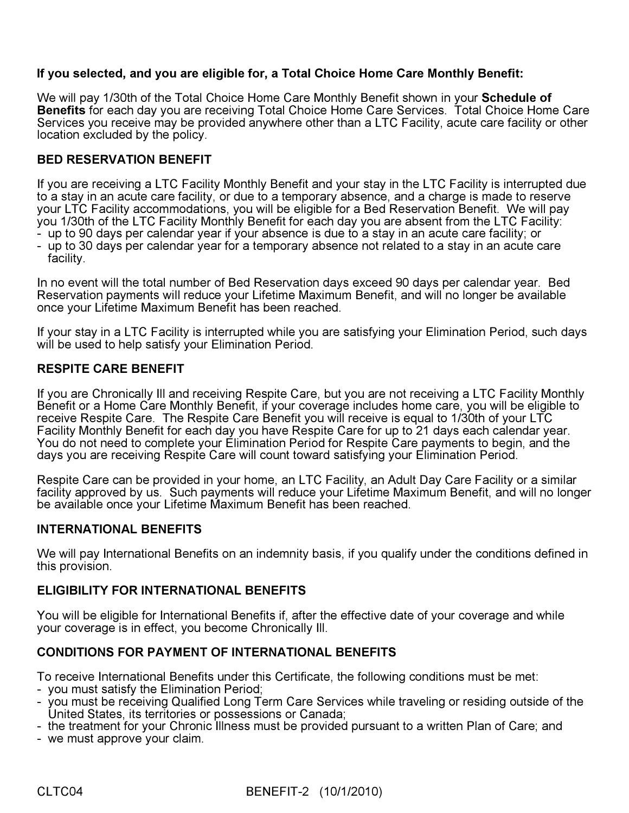# If you selected, and you are eligible for, a Total Choice Home Care Monthly Benefit:

We will pay 1/30th of the Total Choice Home Care Monthly Benefit shown in your **Schedule of** Benefits for each day you are receiving Total Choice Home Care Services. Total Choice Home Care Services you receive may be provided anywhere other than a LTC Facility, acute care facility or other location excluded by the policy.

#### BED RESERVATION BENEFIT

If you are receiving a LTC Facility Monthly Benefit and your stay in the LTC Facility is interrupted due to a stay in an acute care facility, or due to a temporary absence, and a charge is made to reserve your LTC Facility accommodations, you will be eligible for a Bed Reservation Benefit. We will pay you 1/30th of the LTC Facility Monthly Benefit for each day you are absent from the LTC Facility: - up to 90 days per calendar year if your absence is due to a stay in an acute care facility; or

- up to 30 days per calendar year for a temporary absence not related to a stay in an acute care facility.

In no event will the total number of Bed Reservation days exceed 90 days per calendar year. Bed Reservation payments will reduce your Lifetime Maximum Benefit, and will no longer be available once your Lifetime Maximum Benefit has been reached.

If your stay in a LTC Facility is interrupted while you are satisfying your Elimination Period, such days will be used to help satisfy your Elimination Period.

#### RESPITE CARE BENEFIT

If you are Chronically Ill and receiving Respite Care, but you are not receiving a LTC Facility Monthly Benefit or a Home Care Monthly Benefit, if your coverage includes home care, you will be eligible to receive Respite Care. The Respite Care Benefit you will receive is equal to 1/30th of your LTC Facility Monthly Benefit for each day you have Respite Care for up to 21 days each calendar year. You do not need to complete your Elimination Period for Respite Care payments to begin, and the days you are receiving Respite Care will count toward satisfying your Elimination Period.

Respite Care can be provided in your home, an LTC Facility, an Adult Day Care Facility or a similar facility approved by us. Such payments will reduce your Lifetime Maximum Benefit, and will no longer be available once your Lifetime Maximum Benefit has been reached.

#### INTERNATIONAL BENEFITS

We will pay International Benefits on an indemnity basis, if you qualify under the conditions defined in this provision.

#### ELIGIBILITY FOR INTERNATIONAL BENEFITS

You will be eligible for International Benefits if, after the effective date of your coverage and while your coverage is in effect, you become Chronically Ill.

# CONDITIONS FOR PAYMENT OF INTERNATIONAL BENEFITS

To receive International Benefits under this Certificate, the following conditions must be met: - you must satisfy the Elimination Period;

- you must be receiving Qualified Long Term Care Services while traveling or residing outside of the
- United States, its territories or possessions or Canada; - the treatment for your Chronic Illness must be provided pursuant to a written Plan of Care; and
- we must approve your claim.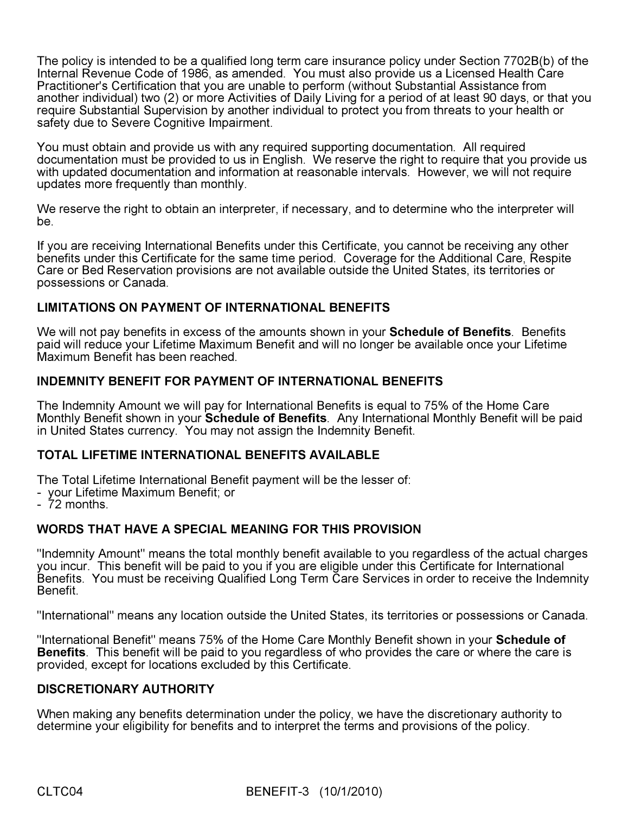The policy is intended to be a qualified long term care insurance policy under Section 7702B(b) of the Internal Revenue Code of 1986, as amended. You must also provide us a Licensed Health Care Practitioner's Certification that you are unable to perform (without Substantial Assistance from another individual) two (2) or more Activities of Daily Living for a period of at least 90 days, or that you require Substantial Supervision by another individual to protect you from threats to your health or safety due to Severe Cognitive Impairment.

You must obtain and provide us with any required supporting documentation. All required documentation must be provided to us in English. We reserve the right to require that you provide us with updated documentation and information at reasonable intervals. However, we will not require updates more frequently than monthly.

We reserve the right to obtain an interpreter, if necessary, and to determine who the interpreter will be.

If you are receiving International Benefits under this Certificate, you cannot be receiving any other benefits under this Certificate for the same time period. Coverage for the Additional Care, Respite Care or Bed Reservation provisions are not available outside the United States, its territories or possessions or Canada.

# LIMITATIONS ON PAYMENT OF INTERNATIONAL BENEFITS

We will not pay benefits in excess of the amounts shown in your **Schedule of Benefits**. Benefits paid will reduce your Lifetime Maximum Benefit and will no longer be available once your Lifetime Maximum Benefit has been reached.

#### INDEMNITY BENEFIT FOR PAYMENT OF INTERNATIONAL BENEFITS

The Indemnity Amount we will pay for International Benefits is equal to 75% of the Home Care Monthly Benefit shown in your Schedule of Benefits. Any International Monthly Benefit will be paid in United States currency. You may not assign the Indemnity Benefit.

#### TOTAL LIFETIME INTERNATIONAL BENEFITS AVAILABLE

The Total Lifetime International Benefit payment will be the lesser of:

- your Lifetime Maximum Benefit; or
- 72 months.

# WORDS THAT HAVE A SPECIAL MEANING FOR THIS PROVISION

"Indemnity Amount" means the total monthly benefit available to you regardless of the actual charges you incur. This benefit will be paid to you if you are eligible under this Certificate for International Benefits. You must be receiving Qualified Long Term Care Services in order to receive the Indemnity Benefit.

"International" means any location outside the United States, its territories or possessions or Canada.

"International Benefit" means 75% of the Home Care Monthly Benefit shown in your Schedule of Benefits. This benefit will be paid to you regardless of who provides the care or where the care is provided, except for locations excluded by this Certificate.

# DISCRETIONARY AUTHORITY

When making any benefits determination under the policy, we have the discretionary authority to determine your eligibility for benefits and to interpret the terms and provisions of the policy.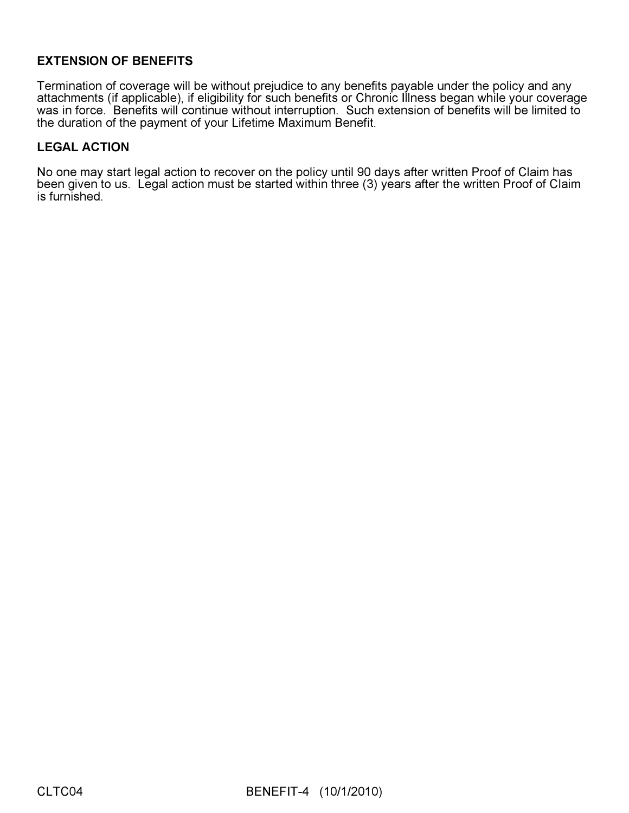# EXTENSION OF BENEFITS

Termination of coverage will be without prejudice to any benefits payable under the policy and any attachments (if applicable), if eligibility for such benefits or Chronic Illness began while your coverage was in force. Benefits will continue without interruption. Such extension of benefits will be limited to the duration of the payment of your Lifetime Maximum Benefit.

# LEGAL ACTION

No one may start legal action to recover on the policy until 90 days after written Proof of Claim has been given to us. Legal action must be started within three (3) years after the written Proof of Claim is furnished.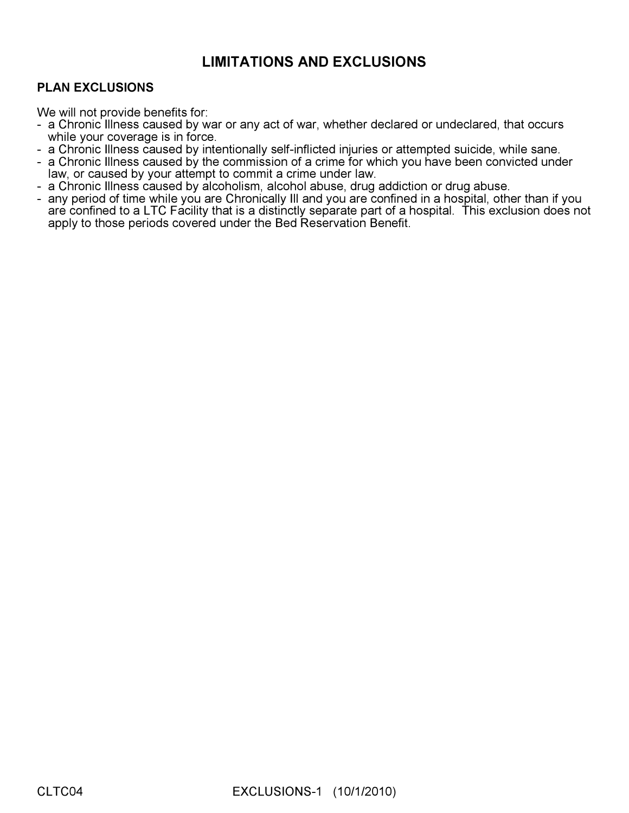# LIMITATIONS AND EXCLUSIONS

# PLAN EXCLUSIONS

We will not provide benefits for:

- a Chronic Illness caused by war or any act of war, whether declared or undeclared, that occurs while your coverage is in force.
- a Chronic Illness caused by intentionally self-inflicted injuries or attempted suicide, while sane.
- a Chronic Illness caused by the commission of a crime for which you have been convicted under law, or caused by your attempt to commit a crime under law.
- a Chronic Illness caused by alcoholism, alcohol abuse, drug addiction or drug abuse.
- any period of time while you are Chronically Ill and you are confined in a hospital, other than if you are confined to a LTC Facility that is a distinctly separate part of a hospital. This exclusion does not apply to those periods covered under the Bed Reservation Benefit.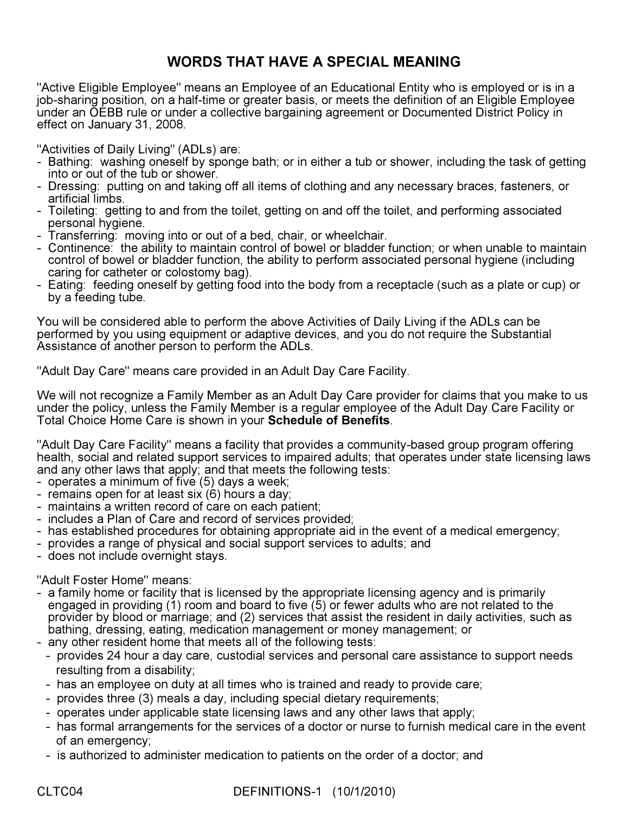# WORDS THAT HAVE A SPECIAL MEANING

"Active Eligible Employee" means an Employee of an Educational Entity who is employed or is in a job-sharing position, on a half-time or greater basis, or meets the definition of an Eligible Employee under an OEBB rule or under a collective bargaining agreement or Documented District Policy in effect on January 31, 2008.

"Activities of Daily Living" (ADLs) are:

- Bathing: washing oneself by sponge bath; or in either a tub or shower, including the task of getting into or out of the tub or shower.
- Dressing: putting on and taking off all items of clothing and any necessary braces, fasteners, or artificial limbs.
- Toileting: getting to and from the toilet, getting on and off the toilet, and performing associated personal hygiene.
- Transferring: moving into or out of a bed, chair, or wheelchair.
- Continence: the ability to maintain control of bowel or bladder function; or when unable to maintain control of bowel or bladder function, the ability to perform associated personal hygiene (including caring for catheter or colostomy bag).
- Eating: feeding oneself by getting food into the body from a receptacle (such as a plate or cup) or by a feeding tube.

You will be considered able to perform the above Activities of Daily Living if the ADLs can be performed by you using equipment or adaptive devices, and you do not require the Substantial Assistance of another person to perform the ADLs.

"Adult Day Care" means care provided in an Adult Day Care Facility.

We will not recognize a Family Member as an Adult Day Care provider for claims that you make to us under the policy, unless the Family Member is a regular employee of the Adult Day Care Facility or Total Choice Home Care is shown in your Schedule of Benefits.

"Adult Day Care Facility" means a facility that provides a community-based group program offering health, social and related support services to impaired adults; that operates under state licensing laws and any other laws that apply; and that meets the following tests:

- operates a minimum of five (5) days a week;
- remains open for at least six (6) hours a day;
- maintains a written record of care on each patient;
- includes a Plan of Care and record of services provided;
- has established procedures for obtaining appropriate aid in the event of a medical emergency;
- provides a range of physical and social support services to adults; and
- does not include overnight stays.

"Adult Foster Home" means:

- a family home or facility that is licensed by the appropriate licensing agency and is primarily engaged in providing (1) room and board to five (5) or fewer adults who are not related to the provider by blood or marriage; and (2) services that assist the resident in daily activities, such as bathing, dressing, eating, medication management or money management; or
- any other resident home that meets all of the following tests:
	- provides 24 hour a day care, custodial services and personal care assistance to support needs resulting from a disability;
	- has an employee on duty at all times who is trained and ready to provide care;
	- provides three (3) meals a day, including special dietary requirements;
	- operates under applicable state licensing laws and any other laws that apply;
	- has formal arrangements for the services of a doctor or nurse to furnish medical care in the event of an emergency;
	- is authorized to administer medication to patients on the order of a doctor; and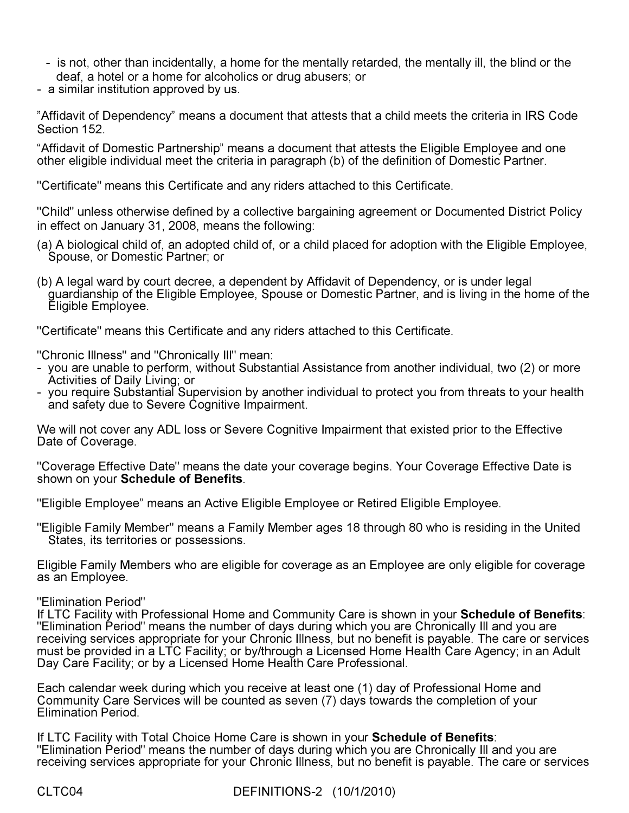- is not, other than incidentally, a home for the mentally retarded, the mentally ill, the blind or the deaf, a hotel or a home for alcoholics or drug abusers; or
- a similar institution approved by us.

"Affidavit of Dependency" means a document that attests that a child meets the criteria in IRS Code Section 152.

"Affidavit of Domestic Partnership" means a document that attests the Eligible Employee and one other eligible individual meet the criteria in paragraph (b) of the definition of Domestic Partner.

"Certificate" means this Certificate and any riders attached to this Certificate.

"Child" unless otherwise defined by a collective bargaining agreement or Documented District Policy in effect on January 31, 2008, means the following:

- (a) A biological child of, an adopted child of, or a child placed for adoption with the Eligible Employee, Spouse, or Domestic Partner; or
- (b) A legal ward by court decree, a dependent by Affidavit of Dependency, or is under legal guardianship of the Eligible Employee, Spouse or Domestic Partner, and is living in the home of the Eligible Employee.

"Certificate" means this Certificate and any riders attached to this Certificate.

"Chronic Illness" and "Chronically Ill" mean:

- you are unable to perform, without Substantial Assistance from another individual, two (2) or more Activities of Daily Living; or
- you require Substantial Supervision by another individual to protect you from threats to your health and safety due to Severe Cognitive Impairment.

We will not cover any ADL loss or Severe Cognitive Impairment that existed prior to the Effective Date of Coverage.

"Coverage Effective Date" means the date your coverage begins. Your Coverage Effective Date is shown on your Schedule of Benefits.

"Eligible Employee" means an Active Eligible Employee or Retired Eligible Employee.

"Eligible Family Member" means a Family Member ages 18 through 80 who is residing in the United States, its territories or possessions.

Eligible Family Members who are eligible for coverage as an Employee are only eligible for coverage as an Employee.

"Elimination Period"

If LTC Facility with Professional Home and Community Care is shown in your **Schedule of Benefits**: "Elimination Period" means the number of days during which you are Chronically III and you are receiving services appropriate for your Chronic Illness, but no benefit is payable. The care or services must be provided in a LTC Facility; or by/through a Licensed Home Health Care Agency; in an Adult Day Care Facility; or by a Licensed Home Health Care Professional.

Each calendar week during which you receive at least one (1) day of Professional Home and Community Care Services will be counted as seven (7) days towards the completion of your Elimination Period.

If LTC Facility with Total Choice Home Care is shown in your Schedule of Benefits: "Elimination Period" means the number of days during which you are Chronically III and you are receiving services appropriate for your Chronic Illness, but no benefit is payable. The care or services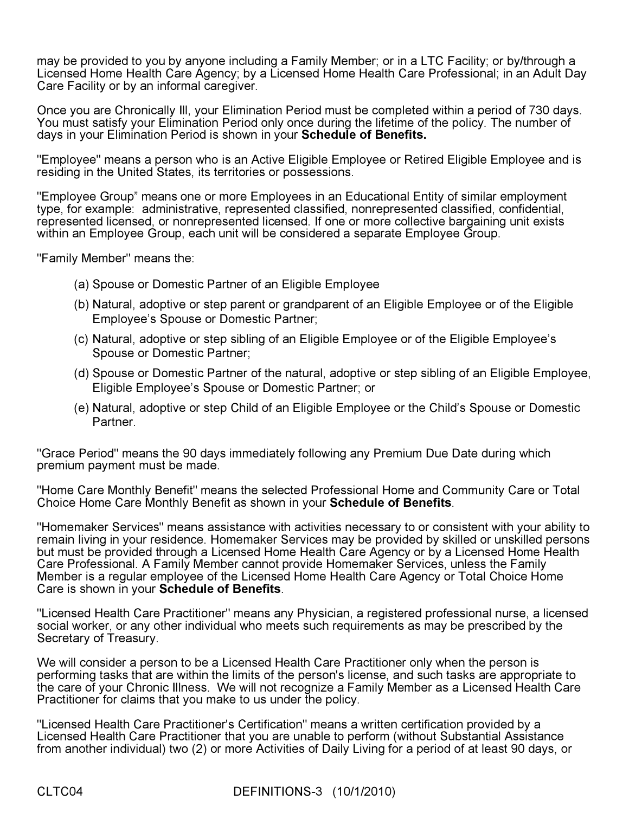may be provided to you by anyone including a Family Member; or in a LTC Facility; or by/through a Licensed Home Health Care Agency; by a Licensed Home Health Care Professional; in an Adult Day Care Facility or by an informal caregiver.

Once you are Chronically Ill, your Elimination Period must be completed within a period of 730 days. You must satisfy your Elimination Period only once during the lifetime of the policy. The number of days in your Elimination Period is shown in your Schedule of Benefits.

"Employee" means a person who is an Active Eligible Employee or Retired Eligible Employee and is residing in the United States, its territories or possessions.

"Employee Group" means one or more Employees in an Educational Entity of similar employment type, for example: administrative, represented classified, nonrepresented classified, confidential, represented licensed, or nonrepresented licensed. If one or more collective bargaining unit exists within an Employee Group, each unit will be considered a separate Employee Group.

"Family Member" means the:

- (a) Spouse or Domestic Partner of an Eligible Employee
- (b) Natural, adoptive or step parent or grandparent of an Eligible Employee or of the Eligible Employee's Spouse or Domestic Partner;
- (c) Natural, adoptive or step sibling of an Eligible Employee or of the Eligible Employee's Spouse or Domestic Partner;
- (d) Spouse or Domestic Partner of the natural, adoptive or step sibling of an Eligible Employee, Eligible Employee's Spouse or Domestic Partner; or
- (e) Natural, adoptive or step Child of an Eligible Employee or the Child's Spouse or Domestic Partner.

"Grace Period" means the 90 days immediately following any Premium Due Date during which premium payment must be made.

"Home Care Monthly Benefit" means the selected Professional Home and Community Care or Total Choice Home Care Monthly Benefit as shown in your Schedule of Benefits.

"Homemaker Services" means assistance with activities necessary to or consistent with your ability to remain living in your residence. Homemaker Services may be provided by skilled or unskilled persons but must be provided through a Licensed Home Health Care Agency or by a Licensed Home Health Care Professional. A Family Member cannot provide Homemaker Services, unless the Family Member is a regular employee of the Licensed Home Health Care Agency or Total Choice Home Care is shown in your Schedule of Benefits.

"Licensed Health Care Practitioner" means any Physician, a registered professional nurse, a licensed social worker, or any other individual who meets such requirements as may be prescribed by the Secretary of Treasury.

We will consider a person to be a Licensed Health Care Practitioner only when the person is performing tasks that are within the limits of the person's license, and such tasks are appropriate to the care of your Chronic Illness. We will not recognize a Family Member as a Licensed Health Care Practitioner for claims that you make to us under the policy.

"Licensed Health Care Practitioner's Certification" means a written certification provided by a Licensed Health Care Practitioner that you are unable to perform (without Substantial Assistance from another individual) two (2) or more Activities of Daily Living for a period of at least 90 days, or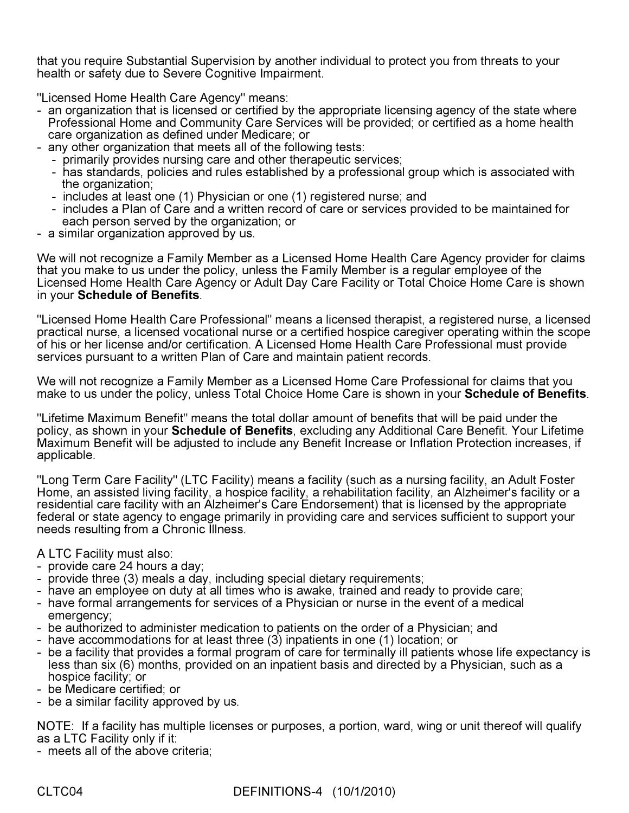that you require Substantial Supervision by another individual to protect you from threats to your health or safety due to Severe Cognitive Impairment.

"Licensed Home Health Care Agency" means:

- an organization that is licensed or certified by the appropriate licensing agency of the state where Professional Home and Community Care Services will be provided; or certified as a home health care organization as defined under Medicare; or
- any other organization that meets all of the following tests:
	- primarily provides nursing care and other therapeutic services;
	- has standards, policies and rules established by a professional group which is associated with the organization;
	- includes at least one (1) Physician or one (1) registered nurse; and
	- includes a Plan of Care and a written record of care or services provided to be maintained for each person served by the organization; or
- a similar organization approved by us.

We will not recognize a Family Member as a Licensed Home Health Care Agency provider for claims that you make to us under the policy, unless the Family Member is a regular employee of the Licensed Home Health Care Agency or Adult Day Care Facility or Total Choice Home Care is shown in your Schedule of Benefits.

"Licensed Home Health Care Professional" means a licensed therapist, a registered nurse, a licensed practical nurse, a licensed vocational nurse or a certified hospice caregiver operating within the scope of his or her license and/or certification. A Licensed Home Health Care Professional must provide services pursuant to a written Plan of Care and maintain patient records.

We will not recognize a Family Member as a Licensed Home Care Professional for claims that you make to us under the policy, unless Total Choice Home Care is shown in your **Schedule of Benefits**.

"Lifetime Maximum Benefit" means the total dollar amount of benefits that will be paid under the policy, as shown in your Schedule of Benefits, excluding any Additional Care Benefit. Your Lifetime Maximum Benefit will be adjusted to include any Benefit Increase or Inflation Protection increases, if applicable.

"Long Term Care Facility" (LTC Facility) means a facility (such as a nursing facility, an Adult Foster Home, an assisted living facility, a hospice facility, a rehabilitation facility, an Alzheimer's facility or a residential care facility with an Alzheimer's Care Endorsement) that is licensed by the appropriate federal or state agency to engage primarily in providing care and services sufficient to support your needs resulting from a Chronic Illness.

A LTC Facility must also:

- provide care 24 hours a day;
- provide three (3) meals a day, including special dietary requirements;
- have an employee on duty at all times who is awake, trained and ready to provide care;
- have formal arrangements for services of a Physician or nurse in the event of a medical emergency;
- be authorized to administer medication to patients on the order of a Physician; and
- have accommodations for at least three (3) inpatients in one (1) location; or
- be a facility that provides a formal program of care for terminally ill patients whose life expectancy is less than six (6) months, provided on an inpatient basis and directed by a Physician, such as a hospice facility; or
- be Medicare certified; or
- be a similar facility approved by us.

NOTE: If a facility has multiple licenses or purposes, a portion, ward, wing or unit thereof will qualify as a LTC Facility only if it:

- meets all of the above criteria;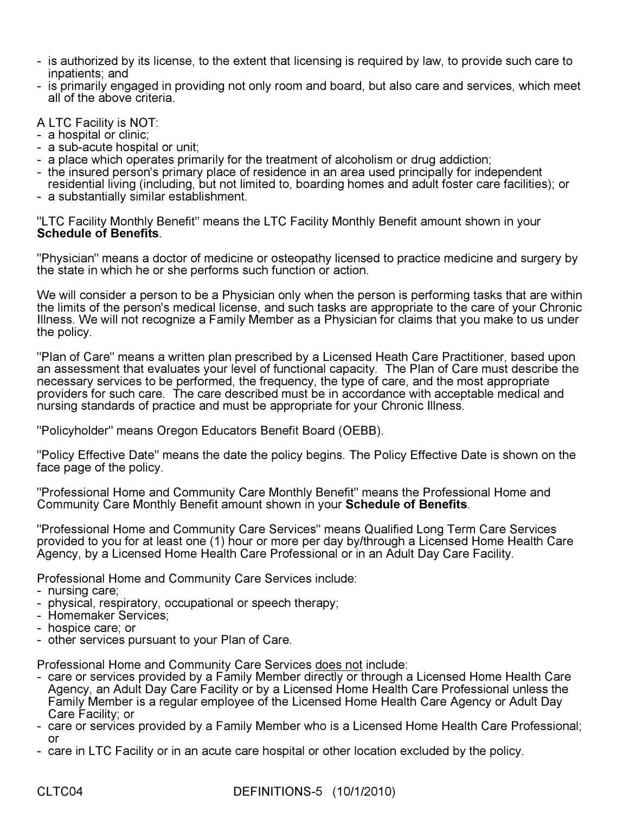- is authorized by its license, to the extent that licensing is required by law, to provide such care to inpatients; and
- is primarily engaged in providing not only room and board, but also care and services, which meet all of the above criteria.

A LTC Facility is NOT:

- a hospital or clinic;
- a sub-acute hospital or unit;
- a place which operates primarily for the treatment of alcoholism or drug addiction;
- the insured person's primary place of residence in an area used principally for independent residential living (including, but not limited to, boarding homes and adult foster care facilities); or
- a substantially similar establishment.

"LTC Facility Monthly Benefit" means the LTC Facility Monthly Benefit amount shown in your Schedule of Benefits.

"Physician" means a doctor of medicine or osteopathy licensed to practice medicine and surgery by the state in which he or she performs such function or action.

We will consider a person to be a Physician only when the person is performing tasks that are within the limits of the person's medical license, and such tasks are appropriate to the care of your Chronic Illness. We will not recognize a Family Member as a Physician for claims that you make to us under the policy.

"Plan of Care" means a written plan prescribed by a Licensed Heath Care Practitioner, based upon an assessment that evaluates your level of functional capacity. The Plan of Care must describe the necessary services to be performed, the frequency, the type of care, and the most appropriate providers for such care. The care described must be in accordance with acceptable medical and nursing standards of practice and must be appropriate for your Chronic Illness.

"Policyholder" means Oregon Educators Benefit Board (OEBB).

"Policy Effective Date" means the date the policy begins. The Policy Effective Date is shown on the face page of the policy.

"Professional Home and Community Care Monthly Benefit" means the Professional Home and Community Care Monthly Benefit amount shown in your Schedule of Benefits.

"Professional Home and Community Care Services" means Qualified Long Term Care Services provided to you for at least one (1) hour or more per day by/through a Licensed Home Health Care Agency, by a Licensed Home Health Care Professional or in an Adult Day Care Facility.

Professional Home and Community Care Services include:

- nursing care;
- physical, respiratory, occupational or speech therapy;
- Homemaker Services;
- hospice care; or
- other services pursuant to your Plan of Care.

Professional Home and Community Care Services does not include:

- care or services provided by a Family Member directly or through a Licensed Home Health Care Agency, an Adult Day Care Facility or by a Licensed Home Health Care Professional unless the Family Member is a regular employee of the Licensed Home Health Care Agency or Adult Day Care Facility; or
- care or services provided by a Family Member who is a Licensed Home Health Care Professional; or
- care in LTC Facility or in an acute care hospital or other location excluded by the policy.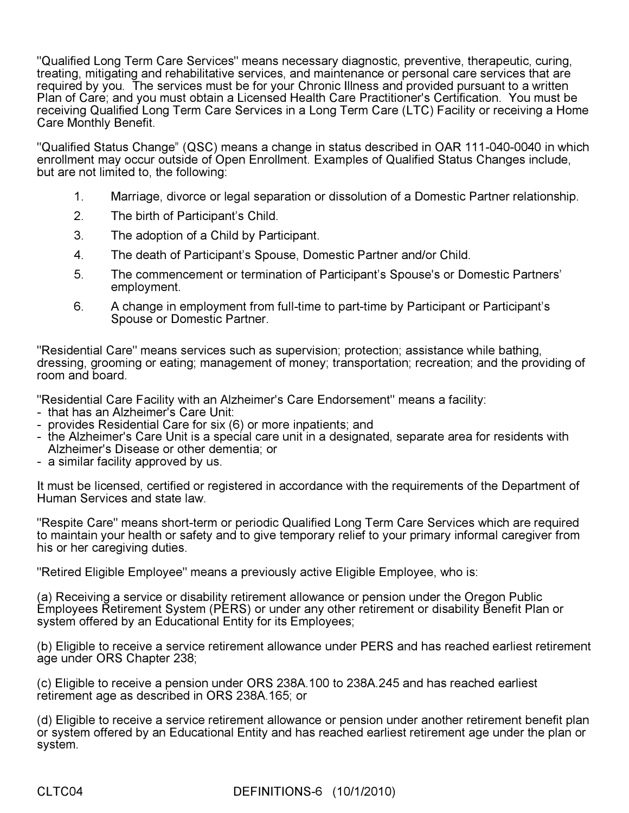"Qualified Long Term Care Services" means necessary diagnostic, preventive, therapeutic, curing, treating, mitigating and rehabilitative services, and maintenance or personal care services that are required by you. The services must be for your Chronic Illness and provided pursuant to a written Plan of Care; and you must obtain a Licensed Health Care Practitioner's Certification. You must be receiving Qualified Long Term Care Services in a Long Term Care (LTC) Facility or receiving a Home Care Monthly Benefit.

"Qualified Status Change" (QSC) means a change in status described in OAR 111-040-0040 in which enrollment may occur outside of Open Enrollment. Examples of Qualified Status Changes include, but are not limited to, the following:

- 1. Marriage, divorce or legal separation or dissolution of a Domestic Partner relationship.
- 2. The birth of Participant's Child.
- 3. The adoption of a Child by Participant.
- 4. The death of Participant's Spouse, Domestic Partner and/or Child.
- 5. The commencement or termination of Participant's Spouse's or Domestic Partners' employment.
- 6. A change in employment from full-time to part-time by Participant or Participant's Spouse or Domestic Partner.

"Residential Care" means services such as supervision; protection; assistance while bathing, dressing, grooming or eating; management of money; transportation; recreation; and the providing of room and board.

"Residential Care Facility with an Alzheimer's Care Endorsement" means a facility:

- that has an Alzheimer's Care Unit:
- provides Residential Care for six (6) or more inpatients; and
- the Alzheimer's Care Unit is a special care unit in a designated, separate area for residents with Alzheimer's Disease or other dementia; or
- a similar facility approved by us.

It must be licensed, certified or registered in accordance with the requirements of the Department of Human Services and state law.

"Respite Care" means short-term or periodic Qualified Long Term Care Services which are required to maintain your health or safety and to give temporary relief to your primary informal caregiver from his or her caregiving duties.

"Retired Eligible Employee" means a previously active Eligible Employee, who is:

(a) Receiving a service or disability retirement allowance or pension under the Oregon Public Employees Retirement System (PERS) or under any other retirement or disability Benefit Plan or system offered by an Educational Entity for its Employees;

(b) Eligible to receive a service retirement allowance under PERS and has reached earliest retirement age under ORS Chapter 238;

(c) Eligible to receive a pension under ORS 238A.100 to 238A.245 and has reached earliest retirement age as described in ORS 238A.165; or

(d) Eligible to receive a service retirement allowance or pension under another retirement benefit plan or system offered by an Educational Entity and has reached earliest retirement age under the plan or system.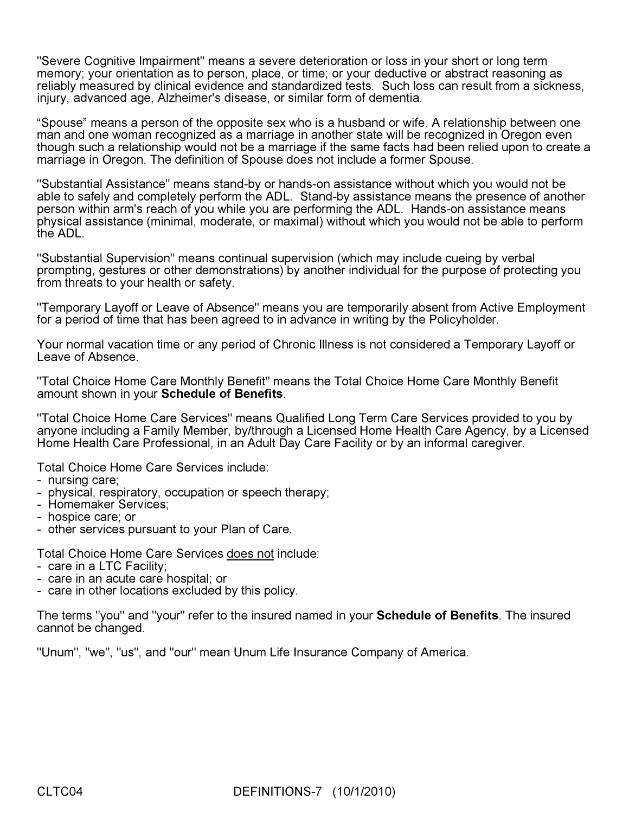"Severe Cognitive Impairment" means a severe deterioration or loss in your short or long term memory; your orientation as to person, place, or time; or your deductive or abstract reasoning as reliably measured by clinical evidence and standardized tests. Such loss can result from a sickness, injury, advanced age, Alzheimer's disease, or similar form of dementia.

"Spouse" means a person of the opposite sex who is a husband or wife. A relationship between one man and one woman recognized as a marriage in another state will be recognized in Oregon even though such a relationship would not be a marriage if the same facts had been relied upon to create a marriage in Oregon. The definition of Spouse does not include a former Spouse.

"Substantial Assistance" means stand-by or hands-on assistance without which you would not be able to safely and completely perform the ADL. Stand-by assistance means the presence of another person within arm's reach of you while you are performing the ADL. Hands-on assistance means physical assistance (minimal, moderate, or maximal) without which you would not be able to perform the ADL.

"Substantial Supervision" means continual supervision (which may include cueing by verbal prompting, gestures or other demonstrations) by another individual for the purpose of protecting you from threats to your health or safety.

"Temporary Layoff or Leave of Absence" means you are temporarily absent from Active Employment for a period of time that has been agreed to in advance in writing by the Policyholder.

Your normal vacation time or any period of Chronic Illness is not considered a Temporary Layoff or Leave of Absence.

"Total Choice Home Care Monthly Benefit" means the Total Choice Home Care Monthly Benefit amount shown in your Schedule of Benefits.

"Total Choice Home Care Services" means Qualified Long Term Care Services provided to you by anyone including a Family Member, by/through a Licensed Home Health Care Agency, by a Licensed Home Health Care Professional, in an Adult Day Care Facility or by an informal caregiver.

Total Choice Home Care Services include:

- nursing care;
- physical, respiratory, occupation or speech therapy;
- Homemaker Services;
- hospice care; or
- other services pursuant to your Plan of Care.

Total Choice Home Care Services does not include:

- care in a LTC Facility;
- care in an acute care hospital; or
- care in other locations excluded by this policy.

The terms "you" and "your" refer to the insured named in your Schedule of Benefits. The insured cannot be changed.

"Unum", "we", "us", and "our" mean Unum Life Insurance Company of America.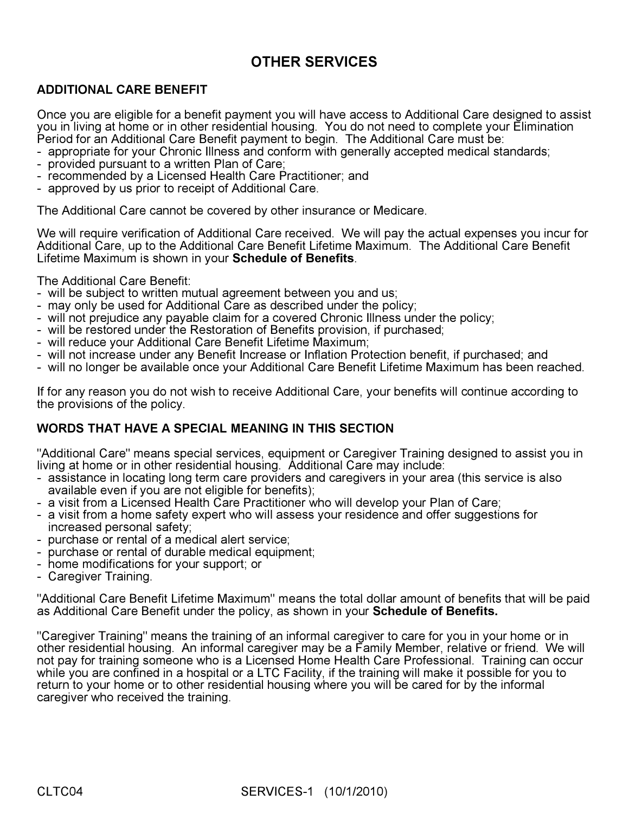# OTHER SERVICES

# ADDITIONAL CARE BENEFIT

Once you are eligible for a benefit payment you will have access to Additional Care designed to assist you in living at home or in other residential housing. You do not need to complete your Elimination Period for an Additional Care Benefit payment to begin. The Additional Care must be:

- appropriate for your Chronic Illness and conform with generally accepted medical standards:
- provided pursuant to a written Plan of Care;
- recommended by a Licensed Health Care Practitioner; and
- approved by us prior to receipt of Additional Care.

The Additional Care cannot be covered by other insurance or Medicare.

We will require verification of Additional Care received. We will pay the actual expenses you incur for Additional Care, up to the Additional Care Benefit Lifetime Maximum. The Additional Care Benefit Lifetime Maximum is shown in your Schedule of Benefits.

The Additional Care Benefit:

- will be subject to written mutual agreement between you and us;
- may only be used for Additional Care as described under the policy;
- will not prejudice any payable claim for a covered Chronic Illness under the policy;
- will be restored under the Restoration of Benefits provision, if purchased;
- will reduce your Additional Care Benefit Lifetime Maximum;
- will not increase under any Benefit Increase or Inflation Protection benefit, if purchased; and
- will no longer be available once your Additional Care Benefit Lifetime Maximum has been reached.

If for any reason you do not wish to receive Additional Care, your benefits will continue according to the provisions of the policy.

# WORDS THAT HAVE A SPECIAL MEANING IN THIS SECTION

"Additional Care" means special services, equipment or Caregiver Training designed to assist you in living at home or in other residential housing. Additional Care may include:

- assistance in locating long term care providers and caregivers in your area (this service is also available even if you are not eligible for benefits);
- a visit from a Licensed Health Care Practitioner who will develop your Plan of Care;
- a visit from a home safety expert who will assess your residence and offer suggestions for increased personal safety;
- purchase or rental of a medical alert service;
- purchase or rental of durable medical equipment;
- home modifications for your support; or
- Caregiver Training.

"Additional Care Benefit Lifetime Maximum" means the total dollar amount of benefits that will be paid as Additional Care Benefit under the policy, as shown in your Schedule of Benefits.

"Caregiver Training" means the training of an informal caregiver to care for you in your home or in other residential housing. An informal caregiver may be a Family Member, relative or friend. We will not pay for training someone who is a Licensed Home Health Care Professional. Training can occur while you are confined in a hospital or a LTC Facility, if the training will make it possible for you to return to your home or to other residential housing where you will be cared for by the informal caregiver who received the training.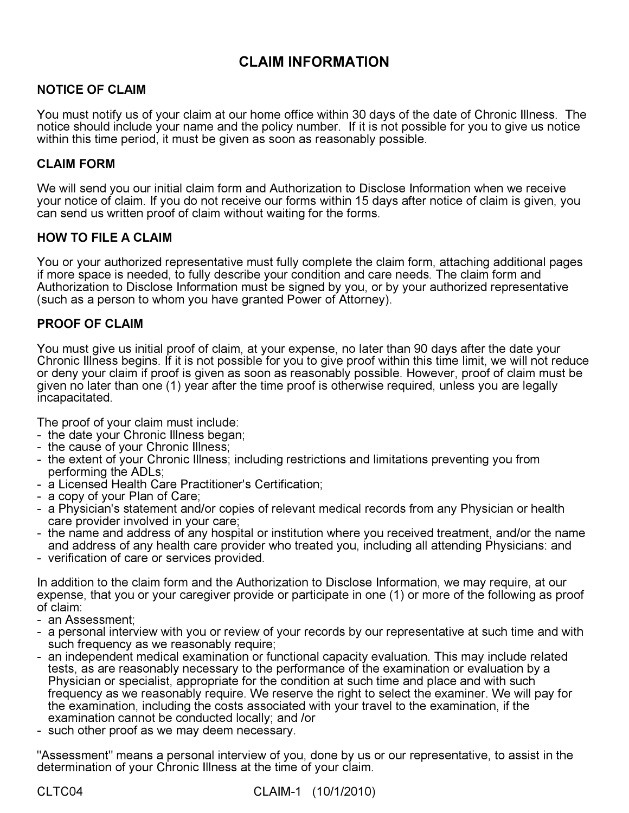# CLAIM INFORMATION

# NOTICE OF CLAIM

You must notify us of your claim at our home office within 30 days of the date of Chronic Illness. The notice should include your name and the policy number. If it is not possible for you to give us notice within this time period, it must be given as soon as reasonably possible.

# CLAIM FORM

We will send you our initial claim form and Authorization to Disclose Information when we receive your notice of claim. If you do not receive our forms within 15 days after notice of claim is given, you can send us written proof of claim without waiting for the forms.

# HOW TO FILE A CLAIM

You or your authorized representative must fully complete the claim form, attaching additional pages if more space is needed, to fully describe your condition and care needs. The claim form and Authorization to Disclose Information must be signed by you, or by your authorized representative (such as a person to whom you have granted Power of Attorney).

# PROOF OF CLAIM

You must give us initial proof of claim, at your expense, no later than 90 days after the date your Chronic Illness begins. If it is not possible for you to give proof within this time limit, we will not reduce or deny your claim if proof is given as soon as reasonably possible. However, proof of claim must be given no later than one (1) year after the time proof is otherwise required, unless you are legally incapacitated.

The proof of your claim must include:

- the date your Chronic Illness began;
- the cause of your Chronic Illness;
- the extent of your Chronic Illness; including restrictions and limitations preventing you from performing the ADLs;
- a Licensed Health Care Practitioner's Certification;
- a copy of your Plan of Care;
- a Physician's statement and/or copies of relevant medical records from any Physician or health care provider involved in your care;
- the name and address of any hospital or institution where you received treatment, and/or the name and address of any health care provider who treated you, including all attending Physicians: and
- verification of care or services provided.

In addition to the claim form and the Authorization to Disclose Information, we may require, at our expense, that you or your caregiver provide or participate in one (1) or more of the following as proof of claim:

- an Assessment;
- a personal interview with you or review of your records by our representative at such time and with such frequency as we reasonably require;
- an independent medical examination or functional capacity evaluation. This may include related tests, as are reasonably necessary to the performance of the examination or evaluation by a Physician or specialist, appropriate for the condition at such time and place and with such frequency as we reasonably require. We reserve the right to select the examiner. We will pay for the examination, including the costs associated with your travel to the examination, if the examination cannot be conducted locally; and /or
- such other proof as we may deem necessary.

"Assessment" means a personal interview of you, done by us or our representative, to assist in the determination of your Chronic Illness at the time of your claim.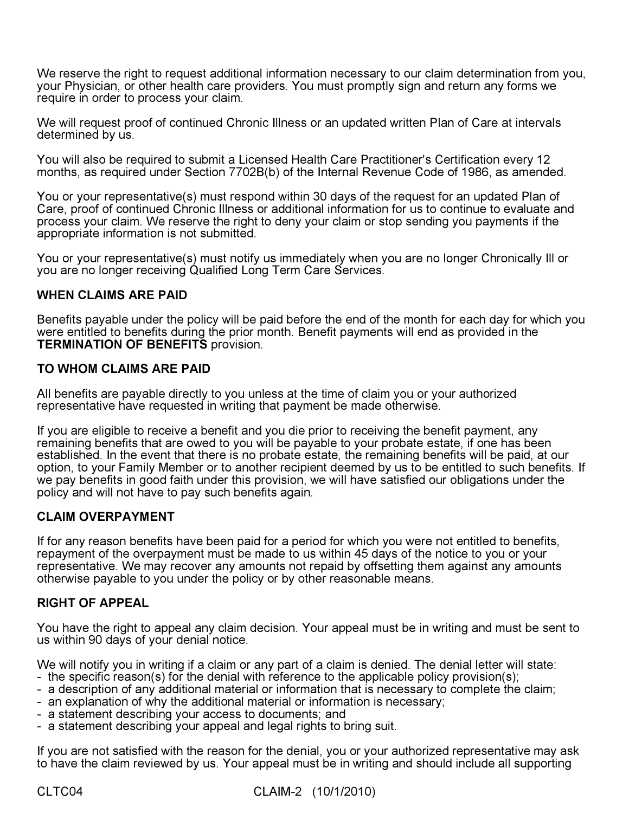We reserve the right to request additional information necessary to our claim determination from you, your Physician, or other health care providers. You must promptly sign and return any forms we require in order to process your claim.

We will request proof of continued Chronic Illness or an updated written Plan of Care at intervals determined by us.

You will also be required to submit a Licensed Health Care Practitioner's Certification every 12 months, as required under Section 7702B(b) of the Internal Revenue Code of 1986, as amended.

You or your representative(s) must respond within 30 days of the request for an updated Plan of Care, proof of continued Chronic Illness or additional information for us to continue to evaluate and process your claim. We reserve the right to deny your claim or stop sending you payments if the appropriate information is not submitted.

You or your representative(s) must notify us immediately when you are no longer Chronically Ill or you are no longer receiving Qualified Long Term Care Services.

# WHEN CLAIMS ARE PAID

Benefits payable under the policy will be paid before the end of the month for each day for which you were entitled to benefits during the prior month. Benefit payments will end as provided in the TERMINATION OF BENEFITS provision.

#### TO WHOM CLAIMS ARE PAID

All benefits are payable directly to you unless at the time of claim you or your authorized representative have requested in writing that payment be made otherwise.

If you are eligible to receive a benefit and you die prior to receiving the benefit payment, any remaining benefits that are owed to you will be payable to your probate estate, if one has been established. In the event that there is no probate estate, the remaining benefits will be paid, at our option, to your Family Member or to another recipient deemed by us to be entitled to such benefits. If we pay benefits in good faith under this provision, we will have satisfied our obligations under the policy and will not have to pay such benefits again.

#### CLAIM OVERPAYMENT

If for any reason benefits have been paid for a period for which you were not entitled to benefits, repayment of the overpayment must be made to us within 45 days of the notice to you or your representative. We may recover any amounts not repaid by offsetting them against any amounts otherwise payable to you under the policy or by other reasonable means.

#### RIGHT OF APPEAL

You have the right to appeal any claim decision. Your appeal must be in writing and must be sent to us within 90 days of your denial notice.

We will notify you in writing if a claim or any part of a claim is denied. The denial letter will state: - the specific reason(s) for the denial with reference to the applicable policy provision(s);

- a description of any additional material or information that is necessary to complete the claim;
- an explanation of why the additional material or information is necessary;
- a statement describing your access to documents; and
- a statement describing your appeal and legal rights to bring suit.

If you are not satisfied with the reason for the denial, you or your authorized representative may ask to have the claim reviewed by us. Your appeal must be in writing and should include all supporting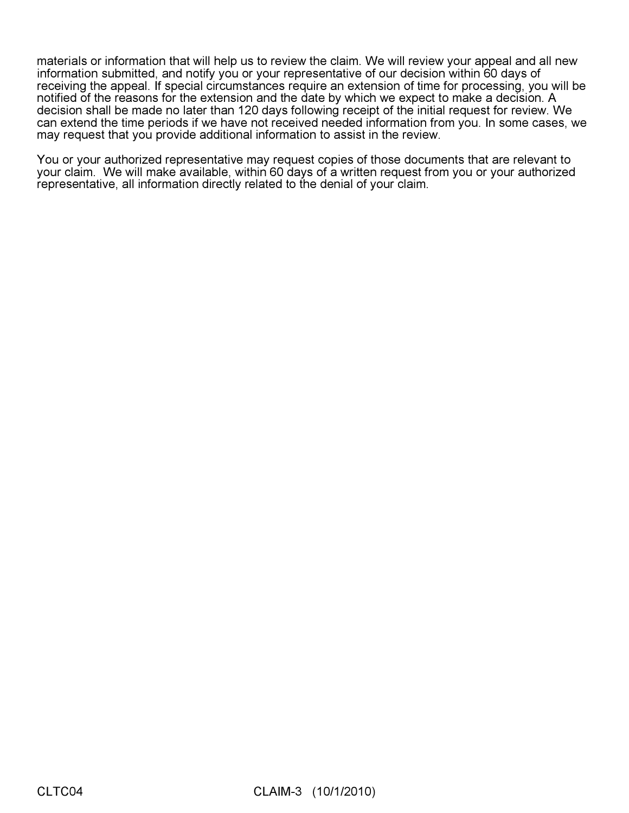materials or information that will help us to review the claim. We will review your appeal and all new information submitted, and notify you or your representative of our decision within 60 days of receiving the appeal. If special circumstances require an extension of time for processing, you will be notified of the reasons for the extension and the date by which we expect to make a decision. A decision shall be made no later than 120 days following receipt of the initial request for review. We can extend the time periods if we have not received needed information from you. In some cases, we may request that you provide additional information to assist in the review.

You or your authorized representative may request copies of those documents that are relevant to your claim. We will make available, within 60 days of a written request from you or your authorized representative, all information directly related to the denial of your claim.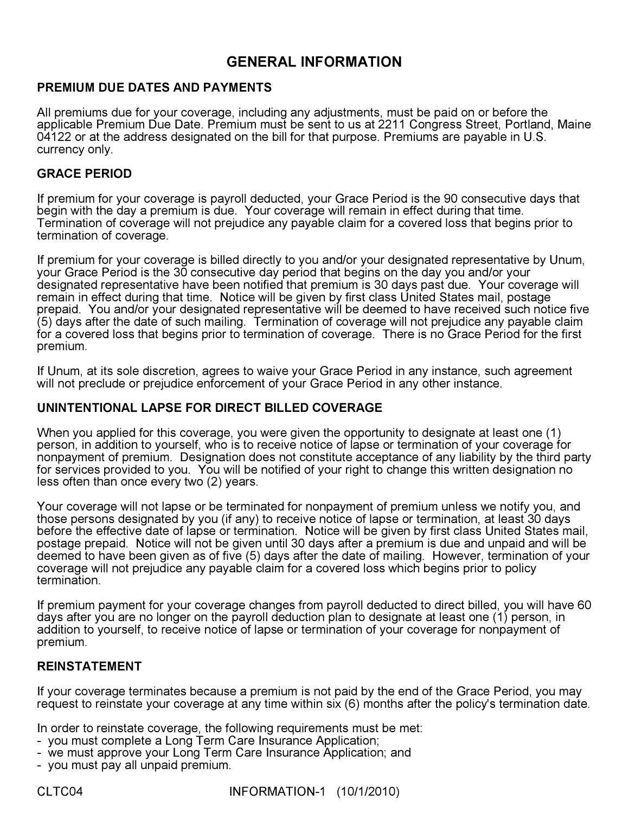# GENERAL INFORMATION

# PREMIUM DUE DATES AND PAYMENTS

All premiums due for your coverage, including any adjustments, must be paid on or before the applicable Premium Due Date. Premium must be sent to us at 2211 Congress Street, Portland, Maine 04122 or at the address designated on the bill for that purpose. Premiums are payable in U.S. currency only.

#### GRACE PERIOD

If premium for your coverage is payroll deducted, your Grace Period is the 90 consecutive days that begin with the day a premium is due. Your coverage will remain in effect during that time. Termination of coverage will not prejudice any payable claim for a covered loss that begins prior to termination of coverage.

If premium for your coverage is billed directly to you and/or your designated representative by Unum, your Grace Period is the 30 consecutive day period that begins on the day you and/or your designated representative have been notified that premium is 30 days past due. Your coverage will remain in effect during that time. Notice will be given by first class United States mail, postage prepaid. You and/or your designated representative will be deemed to have received such notice five (5) days after the date of such mailing. Termination of coverage will not prejudice any payable claim for a covered loss that begins prior to termination of coverage. There is no Grace Period for the first premium.

If Unum, at its sole discretion, agrees to waive your Grace Period in any instance, such agreement will not preclude or prejudice enforcement of your Grace Period in any other instance.

#### UNINTENTIONAL LAPSE FOR DIRECT BILLED COVERAGE

When you applied for this coverage, you were given the opportunity to designate at least one (1) person, in addition to yourself, who is to receive notice of lapse or termination of your coverage for nonpayment of premium. Designation does not constitute acceptance of any liability by the third party for services provided to you. You will be notified of your right to change this written designation no less often than once every two (2) years.

Your coverage will not lapse or be terminated for nonpayment of premium unless we notify you, and those persons designated by you (if any) to receive notice of lapse or termination, at least 30 days before the effective date of lapse or termination. Notice will be given by first class United States mail, postage prepaid. Notice will not be given until 30 days after a premium is due and unpaid and will be deemed to have been given as of five (5) days after the date of mailing. However, termination of your coverage will not prejudice any payable claim for a covered loss which begins prior to policy termination.

If premium payment for your coverage changes from payroll deducted to direct billed, you will have 60 days after you are no longer on the payroll deduction plan to designate at least one (1) person, in addition to yourself, to receive notice of lapse or termination of your coverage for nonpayment of premium.

#### REINSTATEMENT

If your coverage terminates because a premium is not paid by the end of the Grace Period, you may request to reinstate your coverage at any time within six (6) months after the policy's termination date.

In order to reinstate coverage, the following requirements must be met:

- you must complete a Long Term Care Insurance Application;
- we must approve your Long Term Care Insurance Application; and
- you must pay all unpaid premium.

CLTC04 INFORMATION-1 (10/1/2010)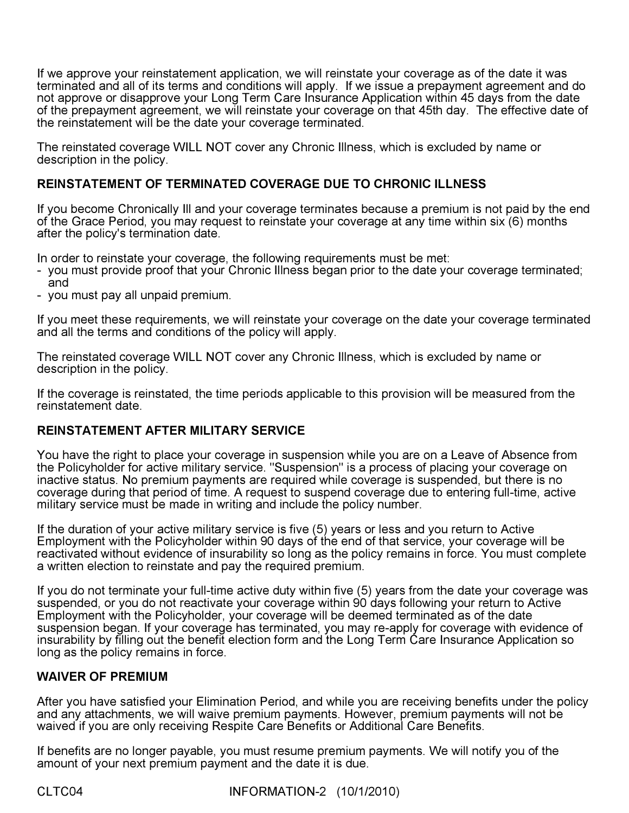If we approve your reinstatement application, we will reinstate your coverage as of the date it was terminated and all of its terms and conditions will apply. If we issue a prepayment agreement and do not approve or disapprove your Long Term Care Insurance Application within 45 days from the date of the prepayment agreement, we will reinstate your coverage on that 45th day. The effective date of the reinstatement will be the date your coverage terminated.

The reinstated coverage WILL NOT cover any Chronic Illness, which is excluded by name or description in the policy.

# REINSTATEMENT OF TERMINATED COVERAGE DUE TO CHRONIC ILLNESS

If you become Chronically Ill and your coverage terminates because a premium is not paid by the end of the Grace Period, you may request to reinstate your coverage at any time within six (6) months after the policy's termination date.

In order to reinstate your coverage, the following requirements must be met:

- you must provide proof that your Chronic Illness began prior to the date your coverage terminated; and
- you must pay all unpaid premium.

If you meet these requirements, we will reinstate your coverage on the date your coverage terminated and all the terms and conditions of the policy will apply.

The reinstated coverage WILL NOT cover any Chronic Illness, which is excluded by name or description in the policy.

If the coverage is reinstated, the time periods applicable to this provision will be measured from the reinstatement date.

# REINSTATEMENT AFTER MILITARY SERVICE

You have the right to place your coverage in suspension while you are on a Leave of Absence from the Policyholder for active military service. "Suspension" is a process of placing your coverage on inactive status. No premium payments are required while coverage is suspended, but there is no coverage during that period of time. A request to suspend coverage due to entering full-time, active military service must be made in writing and include the policy number.

If the duration of your active military service is five (5) years or less and you return to Active Employment with the Policyholder within 90 days of the end of that service, your coverage will be reactivated without evidence of insurability so long as the policy remains in force. You must complete a written election to reinstate and pay the required premium.

If you do not terminate your full-time active duty within five (5) years from the date your coverage was suspended, or you do not reactivate your coverage within 90 days following your return to Active Employment with the Policyholder, your coverage will be deemed terminated as of the date suspension began. If your coverage has terminated, you may re-apply for coverage with evidence of insurability by filling out the benefit election form and the Long Term Care Insurance Application so long as the policy remains in force.

# WAIVER OF PREMIUM

After you have satisfied your Elimination Period, and while you are receiving benefits under the policy and any attachments, we will waive premium payments. However, premium payments will not be waived if you are only receiving Respite Care Benefits or Additional Care Benefits.

If benefits are no longer payable, you must resume premium payments. We will notify you of the amount of your next premium payment and the date it is due.

CLTC04 INFORMATION-2 (10/1/2010)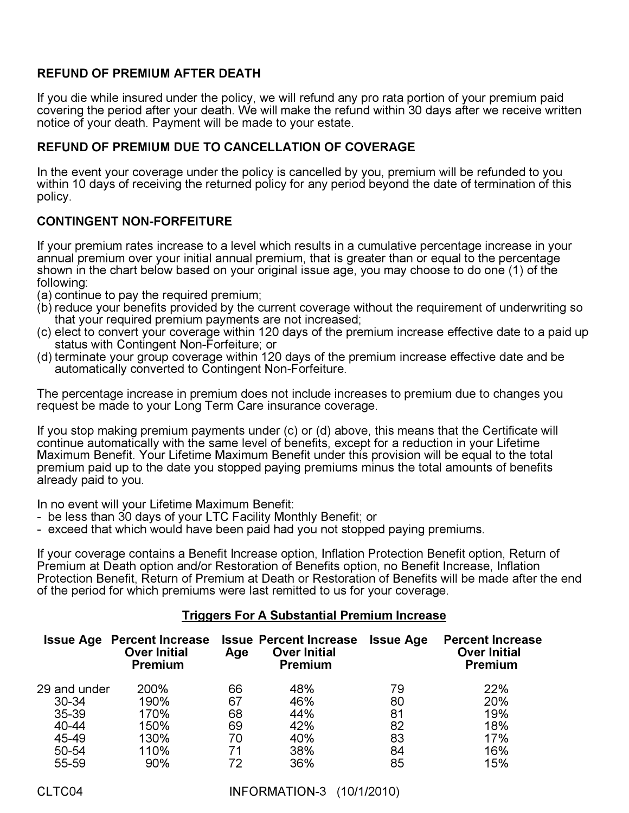# REFUND OF PREMIUM AFTER DEATH

If you die while insured under the policy, we will refund any pro rata portion of your premium paid covering the period after your death. We will make the refund within 30 days after we receive written notice of your death. Payment will be made to your estate.

# REFUND OF PREMIUM DUE TO CANCELLATION OF COVERAGE

In the event your coverage under the policy is cancelled by you, premium will be refunded to you within 10 days of receiving the returned policy for any period beyond the date of termination of this policy.

#### CONTINGENT NON-FORFEITURE

If your premium rates increase to a level which results in a cumulative percentage increase in your annual premium over your initial annual premium, that is greater than or equal to the percentage shown in the chart below based on your original issue age, you may choose to do one (1) of the following:

(a) continue to pay the required premium;

- (b) reduce your benefits provided by the current coverage without the requirement of underwriting so that your required premium payments are not increased;
- (c) elect to convert your coverage within 120 days of the premium increase effective date to a paid up status with Contingent Non-Forfeiture; or
- (d) terminate your group coverage within 120 days of the premium increase effective date and be automatically converted to Contingent Non-Forfeiture.

The percentage increase in premium does not include increases to premium due to changes you request be made to your Long Term Care insurance coverage.

If you stop making premium payments under (c) or (d) above, this means that the Certificate will continue automatically with the same level of benefits, except for a reduction in your Lifetime Maximum Benefit. Your Lifetime Maximum Benefit under this provision will be equal to the total premium paid up to the date you stopped paying premiums minus the total amounts of benefits already paid to you.

In no event will your Lifetime Maximum Benefit:

- be less than 30 days of your LTC Facility Monthly Benefit; or
- exceed that which would have been paid had you not stopped paying premiums.

If your coverage contains a Benefit Increase option, Inflation Protection Benefit option, Return of Premium at Death option and/or Restoration of Benefits option, no Benefit Increase, Inflation Protection Benefit, Return of Premium at Death or Restoration of Benefits will be made after the end of the period for which premiums were last remitted to us for your coverage.

#### Triggers For A Substantial Premium Increase

|              | <b>Issue Age Percent Increase</b><br><b>Over Initial</b><br><b>Premium</b> | Age | <b>Issue Percent Increase</b><br><b>Over Initial</b><br><b>Premium</b> | <b>Issue Age</b> | <b>Percent Increase</b><br><b>Over Initial</b><br><b>Premium</b> |
|--------------|----------------------------------------------------------------------------|-----|------------------------------------------------------------------------|------------------|------------------------------------------------------------------|
| 29 and under | 200%                                                                       | 66  | 48%                                                                    | 79               | 22%                                                              |
| 30-34        | 190%                                                                       | 67  | 46%                                                                    | 80               | 20%                                                              |
| 35-39        | 170%                                                                       | 68  | 44%                                                                    | 81               | 19%                                                              |
| 40-44        | 150%                                                                       | 69  | 42%                                                                    | 82               | 18%                                                              |
| 45-49        | 130%                                                                       | 70  | 40%                                                                    | 83               | 17%                                                              |
| 50-54        | 110%                                                                       | 71  | 38%                                                                    | 84               | 16%                                                              |
| 55-59        | 90%                                                                        |     | 36%                                                                    | 85               | 15%                                                              |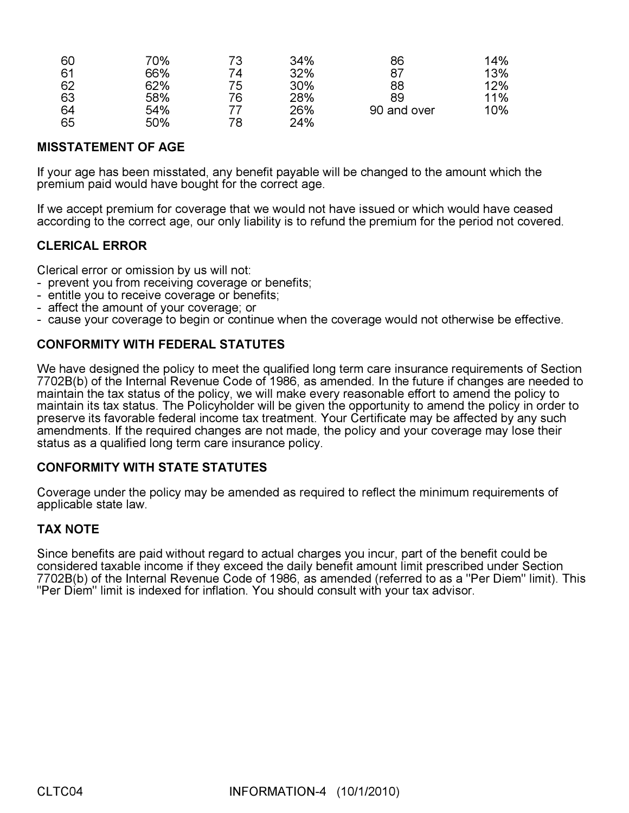| 60 | 70% | 73 | 34% | 86          | 14% |
|----|-----|----|-----|-------------|-----|
| 61 | 66% | 74 | 32% | 87          | 13% |
| 62 | 62% | 75 | 30% | 88          | 12% |
| 63 | 58% | 76 | 28% | 89          | 11% |
| 64 | 54% |    | 26% | 90 and over | 10% |
| 65 | 50% | 78 | 24% |             |     |

#### MISSTATEMENT OF AGE

If your age has been misstated, any benefit payable will be changed to the amount which the premium paid would have bought for the correct age.

If we accept premium for coverage that we would not have issued or which would have ceased according to the correct age, our only liability is to refund the premium for the period not covered.

#### CLERICAL ERROR

Clerical error or omission by us will not:

- prevent you from receiving coverage or benefits;
- entitle you to receive coverage or benefits;
- affect the amount of your coverage; or
- cause your coverage to begin or continue when the coverage would not otherwise be effective.

#### CONFORMITY WITH FEDERAL STATUTES

We have designed the policy to meet the qualified long term care insurance requirements of Section 7702B(b) of the Internal Revenue Code of 1986, as amended. In the future if changes are needed to maintain the tax status of the policy, we will make every reasonable effort to amend the policy to maintain its tax status. The Policyholder will be given the opportunity to amend the policy in order to preserve its favorable federal income tax treatment. Your Certificate may be affected by any such amendments. If the required changes are not made, the policy and your coverage may lose their status as a qualified long term care insurance policy.

#### CONFORMITY WITH STATE STATUTES

Coverage under the policy may be amended as required to reflect the minimum requirements of applicable state law.

# TAX NOTE

Since benefits are paid without regard to actual charges you incur, part of the benefit could be considered taxable income if they exceed the daily benefit amount limit prescribed under Section 7702B(b) of the Internal Revenue Code of 1986, as amended (referred to as a "Per Diem" limit). This "Per Diem" limit is indexed for inflation. You should consult with your tax advisor.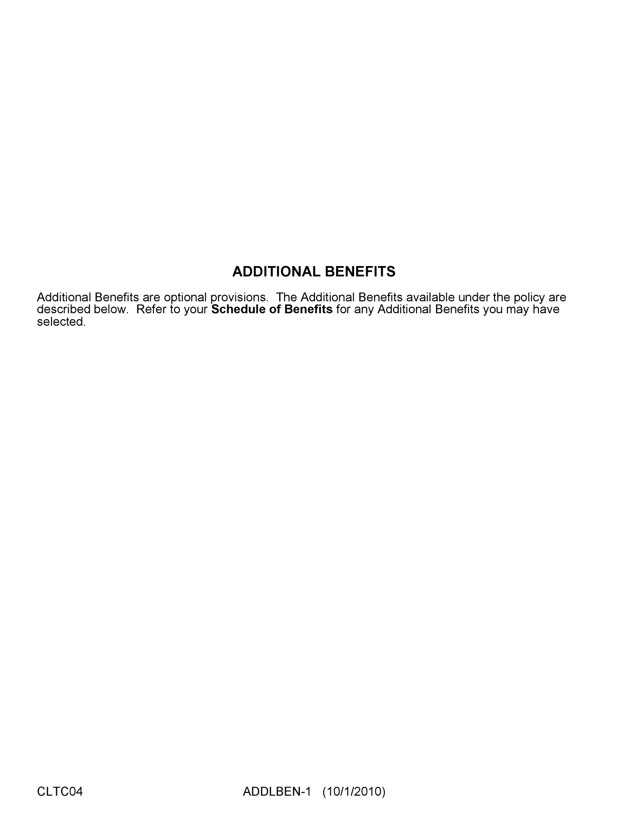# ADDITIONAL BENEFITS

Additional Benefits are optional provisions. The Additional Benefits available under the policy are described below. Refer to your **Schedule of Benefits** for any Additional Benefits you may have selected.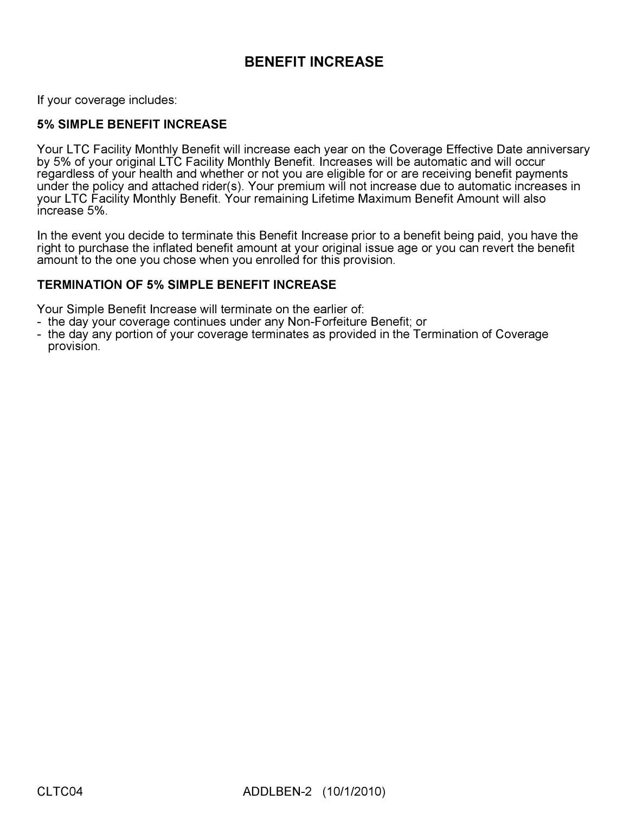# BENEFIT INCREASE

If your coverage includes:

#### 5% SIMPLE BENEFIT INCREASE

Your LTC Facility Monthly Benefit will increase each year on the Coverage Effective Date anniversary by 5% of your original LTC Facility Monthly Benefit. Increases will be automatic and will occur regardless of your health and whether or not you are eligible for or are receiving benefit payments under the policy and attached rider(s). Your premium will not increase due to automatic increases in your LTC Facility Monthly Benefit. Your remaining Lifetime Maximum Benefit Amount will also increase 5%.

In the event you decide to terminate this Benefit Increase prior to a benefit being paid, you have the right to purchase the inflated benefit amount at your original issue age or you can revert the benefit amount to the one you chose when you enrolled for this provision.

# TERMINATION OF 5% SIMPLE BENEFIT INCREASE

Your Simple Benefit Increase will terminate on the earlier of:

- the day your coverage continues under any Non-Forfeiture Benefit; or
- the day any portion of your coverage terminates as provided in the Termination of Coverage provision.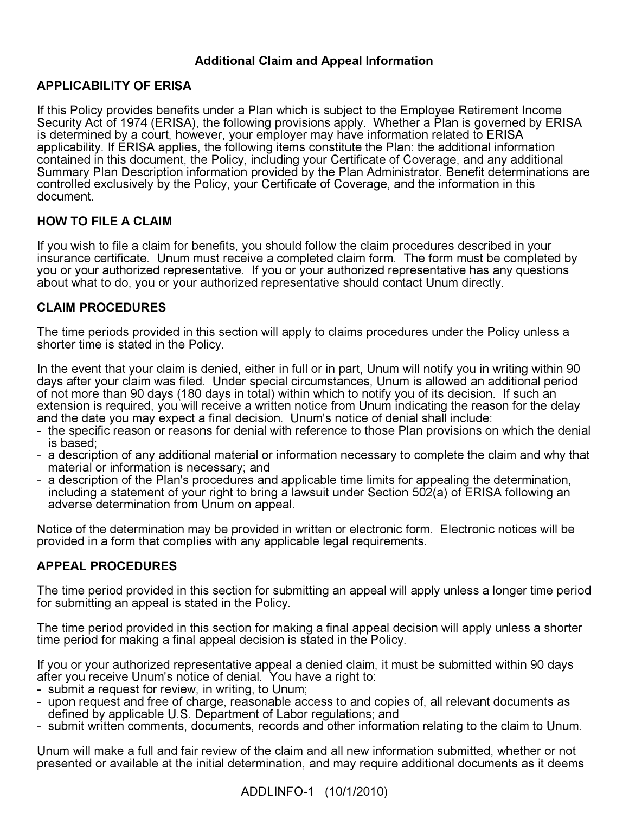# Additional Claim and Appeal Information

# APPLICABILITY OF ERISA

If this Policy provides benefits under a Plan which is subject to the Employee Retirement Income Security Act of 1974 (ERISA), the following provisions apply. Whether a Plan is governed by ERISA is determined by a court, however, your employer may have information related to ERISA applicability. If ERISA applies, the following items constitute the Plan: the additional information contained in this document, the Policy, including your Certificate of Coverage, and any additional Summary Plan Description information provided by the Plan Administrator. Benefit determinations are controlled exclusively by the Policy, your Certificate of Coverage, and the information in this document.

# HOW TO FILE A CLAIM

If you wish to file a claim for benefits, you should follow the claim procedures described in your insurance certificate. Unum must receive a completed claim form. The form must be completed by you or your authorized representative. If you or your authorized representative has any questions about what to do, you or your authorized representative should contact Unum directly.

# CLAIM PROCEDURES

The time periods provided in this section will apply to claims procedures under the Policy unless a shorter time is stated in the Policy.

In the event that your claim is denied, either in full or in part, Unum will notify you in writing within 90 days after your claim was filed. Under special circumstances, Unum is allowed an additional period of not more than 90 days (180 days in total) within which to notify you of its decision. If such an extension is required, you will receive a written notice from Unum indicating the reason for the delay and the date you may expect a final decision. Unum's notice of denial shall include:

- the specific reason or reasons for denial with reference to those Plan provisions on which the denial is based;
- a description of any additional material or information necessary to complete the claim and why that material or information is necessary; and
- a description of the Plan's procedures and applicable time limits for appealing the determination, including a statement of your right to bring a lawsuit under Section 502(a) of ERISA following an adverse determination from Unum on appeal.

Notice of the determination may be provided in written or electronic form. Electronic notices will be provided in a form that complies with any applicable legal requirements.

# APPEAL PROCEDURES

The time period provided in this section for submitting an appeal will apply unless a longer time period for submitting an appeal is stated in the Policy.

The time period provided in this section for making a final appeal decision will apply unless a shorter time period for making a final appeal decision is stated in the Policy.

If you or your authorized representative appeal a denied claim, it must be submitted within 90 days after you receive Unum's notice of denial. You have a right to:

- submit a request for review, in writing, to Unum;
- upon request and free of charge, reasonable access to and copies of, all relevant documents as defined by applicable U.S. Department of Labor regulations; and
- submit written comments, documents, records and other information relating to the claim to Unum.

Unum will make a full and fair review of the claim and all new information submitted, whether or not presented or available at the initial determination, and may require additional documents as it deems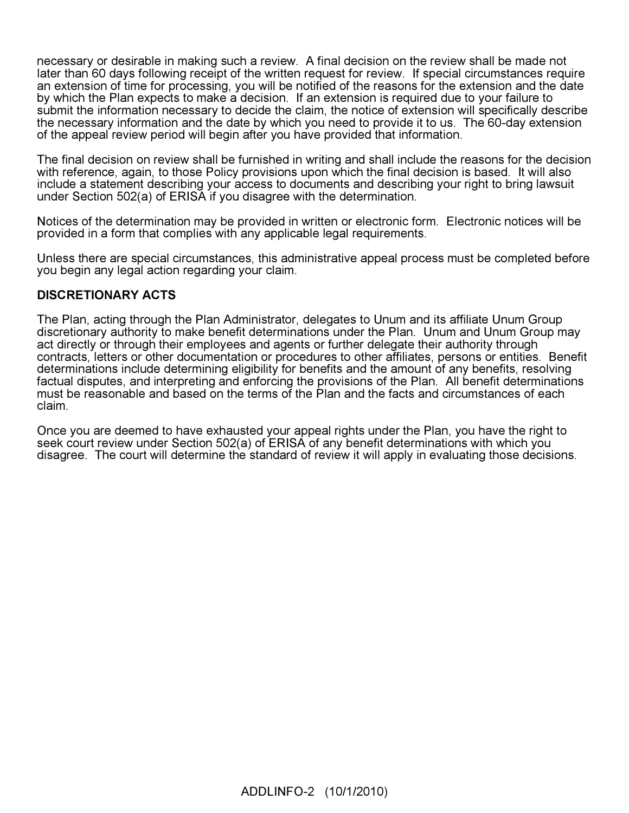necessary or desirable in making such a review. A final decision on the review shall be made not later than 60 days following receipt of the written request for review. If special circumstances require an extension of time for processing, you will be notified of the reasons for the extension and the date by which the Plan expects to make a decision. If an extension is required due to your failure to submit the information necessary to decide the claim, the notice of extension will specifically describe the necessary information and the date by which you need to provide it to us. The 60-day extension of the appeal review period will begin after you have provided that information.

The final decision on review shall be furnished in writing and shall include the reasons for the decision with reference, again, to those Policy provisions upon which the final decision is based. It will also include a statement describing your access to documents and describing your right to bring lawsuit under Section 502(a) of ERISA if you disagree with the determination.

Notices of the determination may be provided in written or electronic form. Electronic notices will be provided in a form that complies with any applicable legal requirements.

Unless there are special circumstances, this administrative appeal process must be completed before you begin any legal action regarding your claim.

# DISCRETIONARY ACTS

The Plan, acting through the Plan Administrator, delegates to Unum and its affiliate Unum Group discretionary authority to make benefit determinations under the Plan. Unum and Unum Group may act directly or through their employees and agents or further delegate their authority through contracts, letters or other documentation or procedures to other affiliates, persons or entities. Benefit determinations include determining eligibility for benefits and the amount of any benefits, resolving factual disputes, and interpreting and enforcing the provisions of the Plan. All benefit determinations must be reasonable and based on the terms of the Plan and the facts and circumstances of each claim.

Once you are deemed to have exhausted your appeal rights under the Plan, you have the right to seek court review under Section 502(a) of ERISA of any benefit determinations with which you disagree. The court will determine the standard of review it will apply in evaluating those decisions.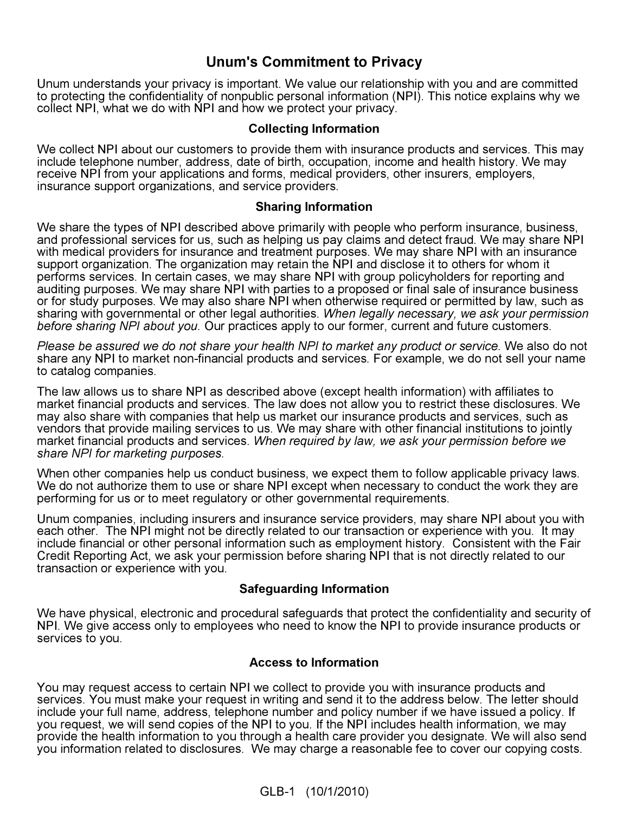# Unum's Commitment to Privacy

Unum understands your privacy is important. We value our relationship with you and are committed to protecting the confidentiality of nonpublic personal information (NPI). This notice explains why we collect NPI, what we do with NPI and how we protect your privacy.

#### Collecting Information

We collect NPI about our customers to provide them with insurance products and services. This may include telephone number, address, date of birth, occupation, income and health history. We may receive NPI from your applications and forms, medical providers, other insurers, employers, insurance support organizations, and service providers.

#### Sharing Information

We share the types of NPI described above primarily with people who perform insurance, business, and professional services for us, such as helping us pay claims and detect fraud. We may share NPI with medical providers for insurance and treatment purposes. We may share NPI with an insurance support organization. The organization may retain the NPI and disclose it to others for whom it performs services. In certain cases, we may share NPI with group policyholders for reporting and auditing purposes. We may share NPI with parties to a proposed or final sale of insurance business or for study purposes. We may also share NPI when otherwise required or permitted by law, such as sharing with governmental or other legal authorities. When legally necessary, we ask your permission before sharing NPI about you. Our practices apply to our former, current and future customers.

Please be assured we do not share your health NPI to market any product or service. We also do not share any NPI to market non-financial products and services. For example, we do not sell your name to catalog companies.

The law allows us to share NPI as described above (except health information) with affiliates to market financial products and services. The law does not allow you to restrict these disclosures. We may also share with companies that help us market our insurance products and services, such as vendors that provide mailing services to us. We may share with other financial institutions to jointly market financial products and services. When required by law, we ask your permission before we share NPI for marketing purposes.

When other companies help us conduct business, we expect them to follow applicable privacy laws. We do not authorize them to use or share NPI except when necessary to conduct the work they are performing for us or to meet regulatory or other governmental requirements.

Unum companies, including insurers and insurance service providers, may share NPI about you with each other. The NPI might not be directly related to our transaction or experience with you. It may include financial or other personal information such as employment history. Consistent with the Fair Credit Reporting Act, we ask your permission before sharing NPI that is not directly related to our transaction or experience with you.

#### Safeguarding Information

We have physical, electronic and procedural safeguards that protect the confidentiality and security of NPI. We give access only to employees who need to know the NPI to provide insurance products or services to you.

#### Access to Information

You may request access to certain NPI we collect to provide you with insurance products and services. You must make your request in writing and send it to the address below. The letter should include your full name, address, telephone number and policy number if we have issued a policy. If you request, we will send copies of the NPI to you. If the NPI includes health information, we may provide the health information to you through a health care provider you designate. We will also send you information related to disclosures. We may charge a reasonable fee to cover our copying costs.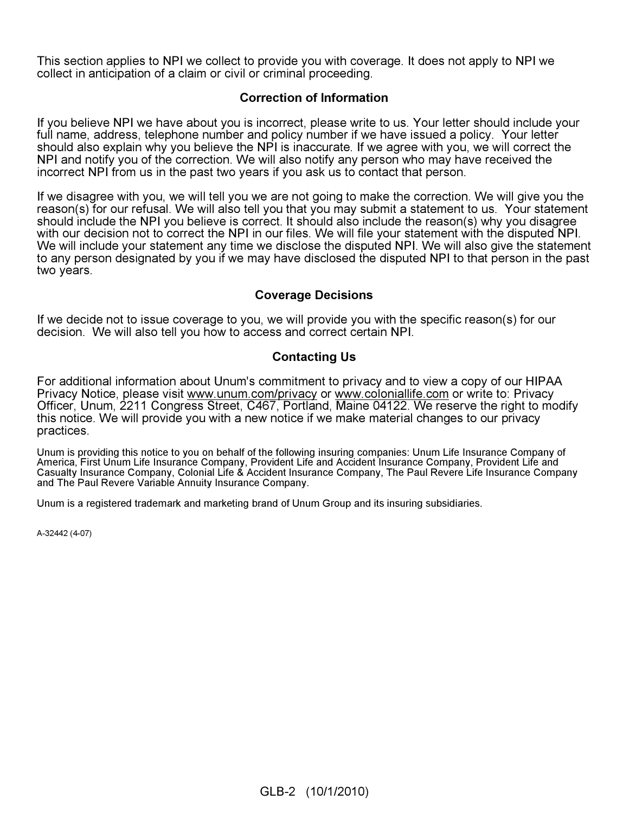This section applies to NPI we collect to provide you with coverage. It does not apply to NPI we collect in anticipation of a claim or civil or criminal proceeding.

#### Correction of Information

If you believe NPI we have about you is incorrect, please write to us. Your letter should include your full name, address, telephone number and policy number if we have issued a policy. Your letter should also explain why you believe the NPI is inaccurate. If we agree with you, we will correct the NPI and notify you of the correction. We will also notify any person who may have received the incorrect NPI from us in the past two years if you ask us to contact that person.

If we disagree with you, we will tell you we are not going to make the correction. We will give you the reason(s) for our refusal. We will also tell you that you may submit a statement to us. Your statement should include the NPI you believe is correct. It should also include the reason(s) why you disagree with our decision not to correct the NPI in our files. We will file your statement with the disputed NPI. We will include your statement any time we disclose the disputed NPI. We will also give the statement to any person designated by you if we may have disclosed the disputed NPI to that person in the past two years.

#### Coverage Decisions

If we decide not to issue coverage to you, we will provide you with the specific reason(s) for our decision. We will also tell you how to access and correct certain NPI.

#### Contacting Us

For additional information about Unum's commitment to privacy and to view a copy of our HIPAA Privacy Notice, please visit www.unum.com/privacy or www.coloniallife.com or write to: Privacy Officer, Unum, 2211 Congress Street, C467, Portland, Maine 04122. We reserve the right to modify this notice. We will provide you with a new notice if we make material changes to our privacy practices.

Unum is providing this notice to you on behalf of the following insuring companies: Unum Life Insurance Company of America, First Unum Life Insurance Company, Provident Life and Accident Insurance Company, Provident Life and Casualty Insurance Company, Colonial Life & Accident Insurance Company, The Paul Revere Life Insurance Company and The Paul Revere Variable Annuity Insurance Company.

Unum is a registered trademark and marketing brand of Unum Group and its insuring subsidiaries.

A-32442 (4-07)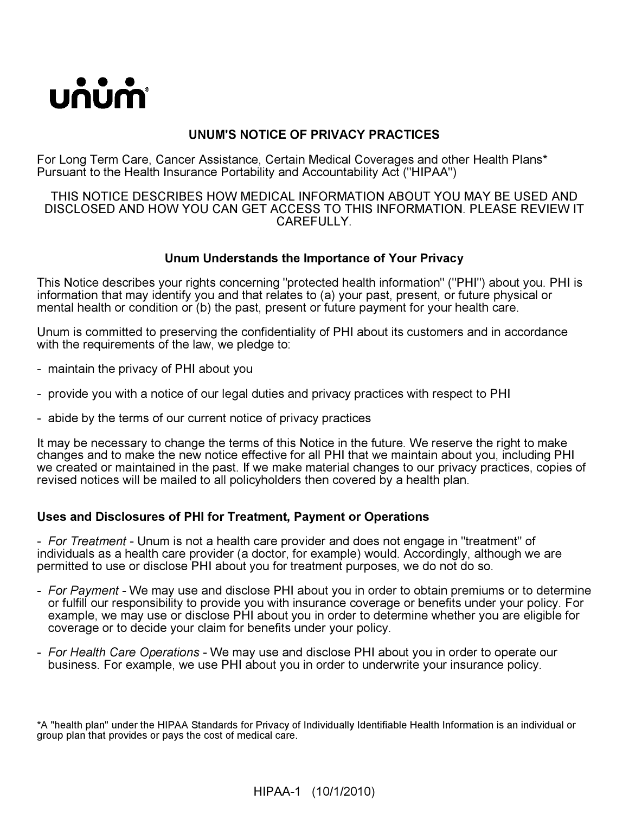

# UNUM'S NOTICE OF PRIVACY PRACTICES

For Long Term Care, Cancer Assistance, Certain Medical Coverages and other Health Plans\* Pursuant to the Health Insurance Portability and Accountability Act ("HIPAA")

#### THIS NOTICE DESCRIBES HOW MEDICAL INFORMATION ABOUT YOU MAY BE USED AND DISCLOSED AND HOW YOU CAN GET ACCESS TO THIS INFORMATION. PLEASE REVIEW IT CAREFULLY.

# Unum Understands the Importance of Your Privacy

This Notice describes your rights concerning "protected health information" ("PHI") about you. PHI is information that may identify you and that relates to (a) your past, present, or future physical or mental health or condition or (b) the past, present or future payment for your health care.

Unum is committed to preserving the confidentiality of PHI about its customers and in accordance with the requirements of the law, we pledge to:

- maintain the privacy of PHI about you
- provide you with a notice of our legal duties and privacy practices with respect to PHI
- abide by the terms of our current notice of privacy practices

It may be necessary to change the terms of this Notice in the future. We reserve the right to make changes and to make the new notice effective for all PHI that we maintain about you, including PHI we created or maintained in the past. If we make material changes to our privacy practices, copies of revised notices will be mailed to all policyholders then covered by a health plan.

# Uses and Disclosures of PHI for Treatment, Payment or Operations

- For Treatment - Unum is not a health care provider and does not engage in "treatment" of individuals as a health care provider (a doctor, for example) would. Accordingly, although we are permitted to use or disclose PHI about you for treatment purposes, we do not do so.

- For Payment We may use and disclose PHI about you in order to obtain premiums or to determine or fulfill our responsibility to provide you with insurance coverage or benefits under your policy. For example, we may use or disclose PHI about you in order to determine whether you are eligible for coverage or to decide your claim for benefits under your policy.
- For Health Care Operations We may use and disclose PHI about you in order to operate our business. For example, we use PHI about you in order to underwrite your insurance policy.

<sup>\*</sup>A "health plan" under the HIPAA Standards for Privacy of Individually Identifiable Health Information is an individual or group plan that provides or pays the cost of medical care.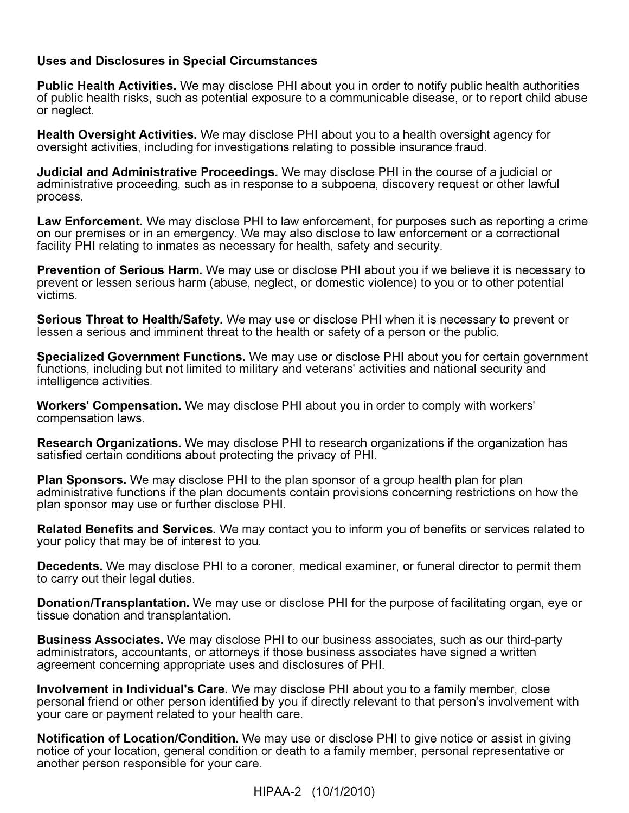# Uses and Disclosures in Special Circumstances

Public Health Activities. We may disclose PHI about you in order to notify public health authorities of public health risks, such as potential exposure to a communicable disease, or to report child abuse or neglect.

Health Oversight Activities. We may disclose PHI about you to a health oversight agency for oversight activities, including for investigations relating to possible insurance fraud.

Judicial and Administrative Proceedings. We may disclose PHI in the course of a judicial or administrative proceeding, such as in response to a subpoena, discovery request or other lawful process.

Law Enforcement. We may disclose PHI to law enforcement, for purposes such as reporting a crime on our premises or in an emergency. We may also disclose to law enforcement or a correctional facility PHI relating to inmates as necessary for health, safety and security.

Prevention of Serious Harm. We may use or disclose PHI about you if we believe it is necessary to prevent or lessen serious harm (abuse, neglect, or domestic violence) to you or to other potential victims.

**Serious Threat to Health/Safety.** We may use or disclose PHI when it is necessary to prevent or lessen a serious and imminent threat to the health or safety of a person or the public.

Specialized Government Functions. We may use or disclose PHI about you for certain government functions, including but not limited to military and veterans' activities and national security and intelligence activities.

Workers' Compensation. We may disclose PHI about you in order to comply with workers' compensation laws.

**Research Organizations.** We may disclose PHI to research organizations if the organization has satisfied certain conditions about protecting the privacy of PHI.

Plan Sponsors. We may disclose PHI to the plan sponsor of a group health plan for plan administrative functions if the plan documents contain provisions concerning restrictions on how the plan sponsor may use or further disclose PHI.

Related Benefits and Services. We may contact you to inform you of benefits or services related to your policy that may be of interest to you.

Decedents. We may disclose PHI to a coroner, medical examiner, or funeral director to permit them to carry out their legal duties.

Donation/Transplantation. We may use or disclose PHI for the purpose of facilitating organ, eye or tissue donation and transplantation.

Business Associates. We may disclose PHI to our business associates, such as our third-party administrators, accountants, or attorneys if those business associates have signed a written agreement concerning appropriate uses and disclosures of PHI.

Involvement in Individual's Care. We may disclose PHI about you to a family member, close personal friend or other person identified by you if directly relevant to that person's involvement with your care or payment related to your health care.

Notification of Location/Condition. We may use or disclose PHI to give notice or assist in giving notice of your location, general condition or death to a family member, personal representative or another person responsible for your care.

HIPAA-2 (10/1/2010)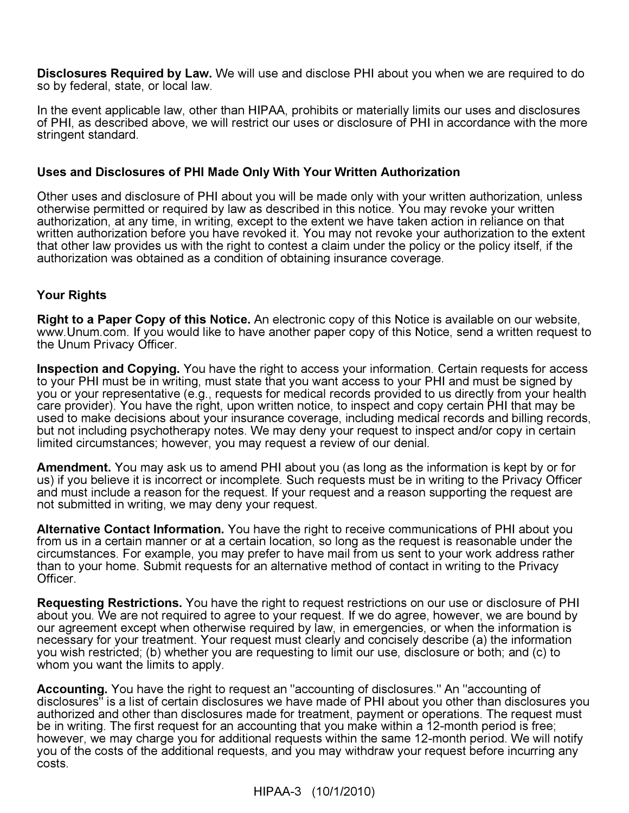Disclosures Required by Law. We will use and disclose PHI about you when we are required to do so by federal, state, or local law.

In the event applicable law, other than HIPAA, prohibits or materially limits our uses and disclosures of PHI, as described above, we will restrict our uses or disclosure of PHI in accordance with the more stringent standard.

#### Uses and Disclosures of PHI Made Only With Your Written Authorization

Other uses and disclosure of PHI about you will be made only with your written authorization, unless otherwise permitted or required by law as described in this notice. You may revoke your written authorization, at any time, in writing, except to the extent we have taken action in reliance on that written authorization before you have revoked it. You may not revoke your authorization to the extent that other law provides us with the right to contest a claim under the policy or the policy itself, if the authorization was obtained as a condition of obtaining insurance coverage.

# Your Rights

Right to a Paper Copy of this Notice. An electronic copy of this Notice is available on our website, www.Unum.com. If you would like to have another paper copy of this Notice, send a written request to the Unum Privacy Officer.

Inspection and Copying. You have the right to access your information. Certain requests for access to your PHI must be in writing, must state that you want access to your PHI and must be signed by you or your representative (e.g., requests for medical records provided to us directly from your health care provider). You have the right, upon written notice, to inspect and copy certain PHI that may be used to make decisions about your insurance coverage, including medical records and billing records, but not including psychotherapy notes. We may deny your request to inspect and/or copy in certain limited circumstances; however, you may request a review of our denial.

Amendment. You may ask us to amend PHI about you (as long as the information is kept by or for us) if you believe it is incorrect or incomplete. Such requests must be in writing to the Privacy Officer and must include a reason for the request. If your request and a reason supporting the request are not submitted in writing, we may deny your request.

Alternative Contact Information. You have the right to receive communications of PHI about you from us in a certain manner or at a certain location, so long as the request is reasonable under the circumstances. For example, you may prefer to have mail from us sent to your work address rather than to your home. Submit requests for an alternative method of contact in writing to the Privacy Officer.

Requesting Restrictions. You have the right to request restrictions on our use or disclosure of PHI about you. We are not required to agree to your request. If we do agree, however, we are bound by our agreement except when otherwise required by law, in emergencies, or when the information is necessary for your treatment. Your request must clearly and concisely describe (a) the information you wish restricted; (b) whether you are requesting to limit our use, disclosure or both; and (c) to whom you want the limits to apply.

Accounting. You have the right to request an "accounting of disclosures." An "accounting of disclosures" is a list of certain disclosures we have made of PHI about you other than disclosures you authorized and other than disclosures made for treatment, payment or operations. The request must be in writing. The first request for an accounting that you make within a 12-month period is free; however, we may charge you for additional requests within the same 12-month period. We will notify you of the costs of the additional requests, and you may withdraw your request before incurring any costs.

HIPAA-3 (10/1/2010)